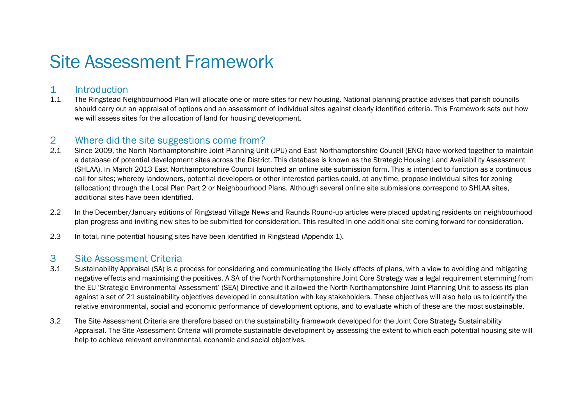## Site Assessment Framework

## 1 Introduction

1.1 The Ringstead Neighbourhood Plan will allocate one or more sites for new housing. National planning practice advises that parish councils should carry out an appraisal of options and an assessment of individual sites against clearly identified criteria. This Framework sets out how we will assess sites for the allocation of land for housing development.

## 2 Where did the site suggestions come from?

- 2.1 Since 2009, the North Northamptonshire Joint Planning Unit (JPU) and East Northamptonshire Council (ENC) have worked together to maintain a database of potential development sites across the District. This database is known as the Strategic Housing Land Availability Assessment (SHLAA). In March 2013 East Northamptonshire Council launched an online site submission form. This is intended to function as a continuous call for sites; whereby landowners, potential developers or other interested parties could, at any time, propose individual sites for zoning (allocation) through the Local Plan Part 2 or Neighbourhood Plans. Although several online site submissions correspond to SHLAA sites, additional sites have been identified.
- 2.2 In the December/January editions of Ringstead Village News and Raunds Round-up articles were placed updating residents on neighbourhood plan progress and inviting new sites to be submitted for consideration. This resulted in one additional site coming forward for consideration.
- 2.3 In total, nine potential housing sites have been identified in Ringstead (Appendix 1).

## 3 Site Assessment Criteria

- 3.1 Sustainability Appraisal (SA) is a process for considering and communicating the likely effects of plans, with a view to avoiding and mitigating negative effects and maximising the positives. A SA of the North Northamptonshire Joint Core Strategy was a legal requirement stemming from the EU 'Strategic Environmental Assessment' (SEA) Directive and it allowed the North Northamptonshire Joint Planning Unit to assess its plan against a set of 21 sustainability objectives developed in consultation with key stakeholders. These objectives will also help us to identify the relative environmental, social and economic performance of development options, and to evaluate which of these are the most sustainable.
- 3.2 The Site Assessment Criteria are therefore based on the sustainability framework developed for the Joint Core Strategy Sustainability Appraisal. The Site Assessment Criteria will promote sustainable development by assessing the extent to which each potential housing site will help to achieve relevant environmental, economic and social objectives.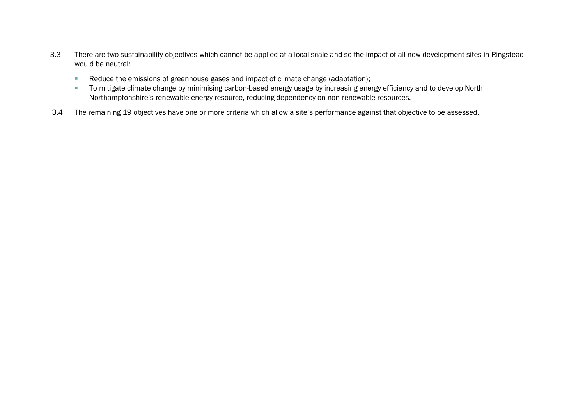- 3.3 There are two sustainability objectives which cannot be applied at a local scale and so the impact of all new development sites in Ringstead would be neutral:
	- Reduce the emissions of greenhouse gases and impact of climate change (adaptation);
	- To mitigate climate change by minimising carbon-based energy usage by increasing energy efficiency and to develop North Northamptonshire's renewable energy resource, reducing dependency on non-renewable resources.
- 3.4 The remaining 19 objectives have one or more criteria which allow a site's performance against that objective to be assessed.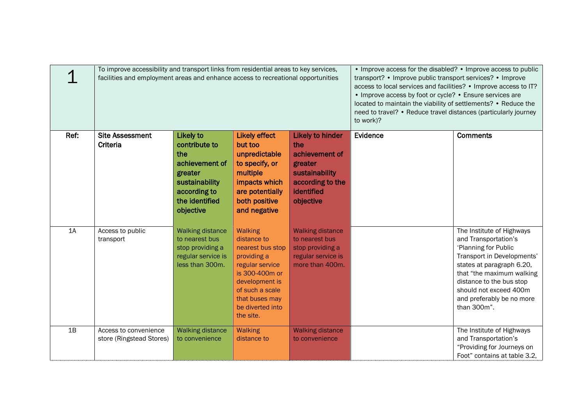|      | To improve accessibility and transport links from residential areas to key services,<br>facilities and employment areas and enhance access to recreational opportunities |                                                                                                                                        | • Improve access for the disabled? • Improve access to public<br>transport? • Improve public transport services? • Improve<br>access to local services and facilities? • Improve access to IT?<br>• Improve access by foot or cycle? • Ensure services are<br>located to maintain the viability of settlements? • Reduce the<br>need to travel? • Reduce travel distances (particularly journey<br>to work)? |                                                                                                                              |          |                                                                                                                                                                                                                                                                     |
|------|--------------------------------------------------------------------------------------------------------------------------------------------------------------------------|----------------------------------------------------------------------------------------------------------------------------------------|--------------------------------------------------------------------------------------------------------------------------------------------------------------------------------------------------------------------------------------------------------------------------------------------------------------------------------------------------------------------------------------------------------------|------------------------------------------------------------------------------------------------------------------------------|----------|---------------------------------------------------------------------------------------------------------------------------------------------------------------------------------------------------------------------------------------------------------------------|
| Ref: | <b>Site Assessment</b><br>Criteria                                                                                                                                       | <b>Likely to</b><br>contribute to<br>the<br>achievement of<br>greater<br>sustainability<br>according to<br>the identified<br>objective | <b>Likely effect</b><br>but too<br>unpredictable<br>to specify, or<br>multiple<br>impacts which<br>are potentially<br>both positive<br>and negative                                                                                                                                                                                                                                                          | <b>Likely to hinder</b><br>the<br>achievement of<br>greater<br>sustainability<br>according to the<br>identified<br>objective | Evidence | <b>Comments</b>                                                                                                                                                                                                                                                     |
| 1A   | Access to public<br>transport                                                                                                                                            | <b>Walking distance</b><br>to nearest bus<br>stop providing a<br>regular service is<br>less than 300m.                                 | Walking<br>distance to<br>nearest bus stop<br>providing a<br>regular service<br>is 300-400m or<br>development is<br>of such a scale<br>that buses may<br>be diverted into<br>the site.                                                                                                                                                                                                                       | <b>Walking distance</b><br>to nearest bus<br>stop providing a<br>regular service is<br>more than 400m.                       |          | The Institute of Highways<br>and Transportation's<br>'Planning for Public<br>Transport in Developments'<br>states at paragraph 6.20,<br>that "the maximum walking<br>distance to the bus stop<br>should not exceed 400m<br>and preferably be no more<br>than 300m". |
| 1B   | Access to convenience<br>store (Ringstead Stores)                                                                                                                        | <b>Walking distance</b><br>to convenience                                                                                              | Walking<br>distance to                                                                                                                                                                                                                                                                                                                                                                                       | <b>Walking distance</b><br>to convenience                                                                                    |          | The Institute of Highways<br>and Transportation's<br>"Providing for Journeys on<br>Foot" contains at table 3.2,                                                                                                                                                     |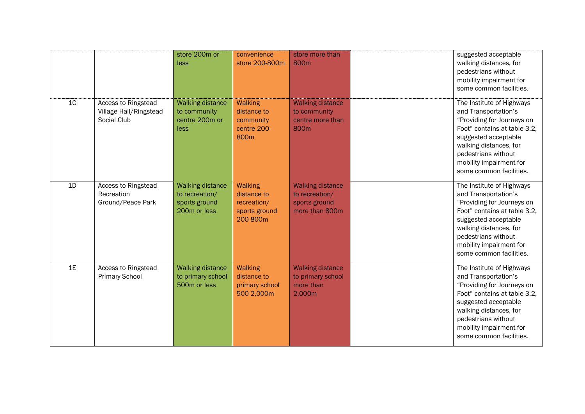|                |                                                              | store 200m or<br>less                                                      | convenience<br>store 200-800m                                                 | store more than<br>800 <sub>m</sub>                                          | suggested acceptable<br>walking distances, for<br>pedestrians without<br>mobility impairment for<br>some common facilities.                                                                                                                    |
|----------------|--------------------------------------------------------------|----------------------------------------------------------------------------|-------------------------------------------------------------------------------|------------------------------------------------------------------------------|------------------------------------------------------------------------------------------------------------------------------------------------------------------------------------------------------------------------------------------------|
| 1 <sub>C</sub> | Access to Ringstead<br>Village Hall/Ringstead<br>Social Club | <b>Walking distance</b><br>to community<br>centre 200m or<br>less          | <b>Walking</b><br>distance to<br>community<br>centre 200-<br>800 <sub>m</sub> | <b>Walking distance</b><br>to community<br>centre more than<br>800m          | The Institute of Highways<br>and Transportation's<br>"Providing for Journeys on<br>Foot" contains at table 3.2,<br>suggested acceptable<br>walking distances, for<br>pedestrians without<br>mobility impairment for<br>some common facilities. |
| 1D             | Access to Ringstead<br>Recreation<br>Ground/Peace Park       | <b>Walking distance</b><br>to recreation/<br>sports ground<br>200m or less | <b>Walking</b><br>distance to<br>recreation/<br>sports ground<br>200-800m     | <b>Walking distance</b><br>to recreation/<br>sports ground<br>more than 800m | The Institute of Highways<br>and Transportation's<br>"Providing for Journeys on<br>Foot" contains at table 3.2,<br>suggested acceptable<br>walking distances, for<br>pedestrians without<br>mobility impairment for<br>some common facilities. |
| 1E             | Access to Ringstead<br><b>Primary School</b>                 | <b>Walking distance</b><br>to primary school<br>500m or less               | <b>Walking</b><br>distance to<br>primary school<br>500-2,000m                 | <b>Walking distance</b><br>to primary school<br>more than<br>2,000m          | The Institute of Highways<br>and Transportation's<br>"Providing for Journeys on<br>Foot" contains at table 3.2.<br>suggested acceptable<br>walking distances, for<br>pedestrians without<br>mobility impairment for<br>some common facilities. |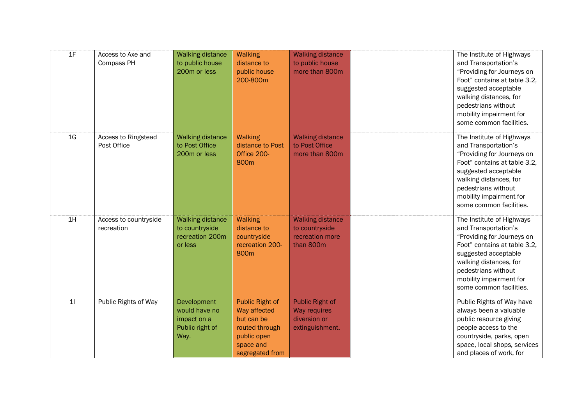| 1F             | Access to Axe and<br>Compass PH     | <b>Walking distance</b><br>to public house<br>200m or less              | <b>Walking</b><br>distance to<br>public house<br>200-800m                                                             | <b>Walking distance</b><br>to public house<br>more than 800m                     | The Institute of Highways<br>and Transportation's<br>"Providing for Journeys on<br>Foot" contains at table 3.2,<br>suggested acceptable<br>walking distances, for<br>pedestrians without<br>mobility impairment for<br>some common facilities. |
|----------------|-------------------------------------|-------------------------------------------------------------------------|-----------------------------------------------------------------------------------------------------------------------|----------------------------------------------------------------------------------|------------------------------------------------------------------------------------------------------------------------------------------------------------------------------------------------------------------------------------------------|
| 1 <sub>G</sub> | Access to Ringstead<br>Post Office  | <b>Walking distance</b><br>to Post Office<br>200m or less               | <b>Walking</b><br>distance to Post<br>Office 200-<br>800m                                                             | <b>Walking distance</b><br>to Post Office<br>more than 800m                      | The Institute of Highways<br>and Transportation's<br>"Providing for Journeys on<br>Foot" contains at table 3.2,<br>suggested acceptable<br>walking distances, for<br>pedestrians without<br>mobility impairment for<br>some common facilities. |
| 1H             | Access to countryside<br>recreation | <b>Walking distance</b><br>to countryside<br>recreation 200m<br>or less | <b>Walking</b><br>distance to<br>countryside<br>recreation 200-<br>800m                                               | <b>Walking distance</b><br>to countryside<br>recreation more<br>than 800m        | The Institute of Highways<br>and Transportation's<br>"Providing for Journeys on<br>Foot" contains at table 3.2.<br>suggested acceptable<br>walking distances, for<br>pedestrians without<br>mobility impairment for<br>some common facilities. |
| 11             | Public Rights of Way                | Development<br>would have no<br>impact on a<br>Public right of<br>Way.  | <b>Public Right of</b><br>Way affected<br>but can be<br>routed through<br>public open<br>space and<br>segregated from | <b>Public Right of</b><br><b>Way requires</b><br>diversion or<br>extinguishment. | Public Rights of Way have<br>always been a valuable<br>public resource giving<br>people access to the<br>countryside, parks, open<br>space, local shops, services<br>and places of work, for                                                   |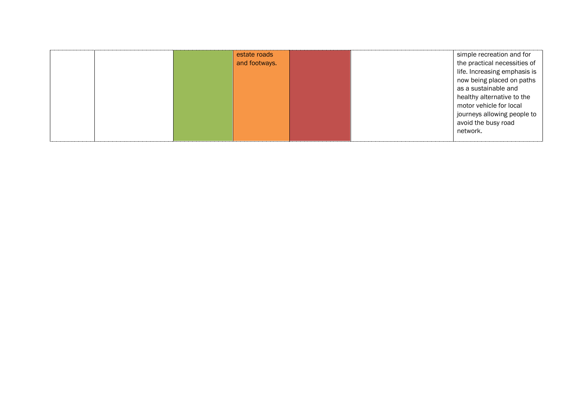|  | estate roads  |  | simple recreation and for    |
|--|---------------|--|------------------------------|
|  | and footways. |  | the practical necessities of |
|  |               |  | life. Increasing emphasis is |
|  |               |  | now being placed on paths    |
|  |               |  | as a sustainable and         |
|  |               |  | healthy alternative to the   |
|  |               |  | motor vehicle for local      |
|  |               |  | journeys allowing people to  |
|  |               |  | avoid the busy road          |
|  |               |  | network.                     |
|  |               |  |                              |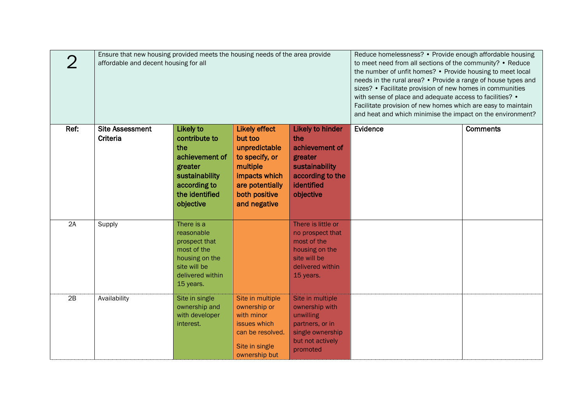|      | Ensure that new housing provided meets the housing needs of the area provide<br>affordable and decent housing for all |                                                                                                                                 | Reduce homelessness? • Provide enough affordable housing<br>to meet need from all sections of the community? • Reduce<br>the number of unfit homes? • Provide housing to meet local<br>needs in the rural area? • Provide a range of house types and<br>sizes? • Facilitate provision of new homes in communities<br>with sense of place and adequate access to facilities? •<br>Facilitate provision of new homes which are easy to maintain<br>and heat and which minimise the impact on the environment? |                                                                                                                              |          |                 |
|------|-----------------------------------------------------------------------------------------------------------------------|---------------------------------------------------------------------------------------------------------------------------------|-------------------------------------------------------------------------------------------------------------------------------------------------------------------------------------------------------------------------------------------------------------------------------------------------------------------------------------------------------------------------------------------------------------------------------------------------------------------------------------------------------------|------------------------------------------------------------------------------------------------------------------------------|----------|-----------------|
| Ref: | <b>Site Assessment</b><br>Criteria                                                                                    | Likely to<br>contribute to<br>the<br>achievement of<br>greater<br>sustainability<br>according to<br>the identified<br>objective | <b>Likely effect</b><br>but too<br>unpredictable<br>to specify, or<br>multiple<br>impacts which<br>are potentially<br>both positive<br>and negative                                                                                                                                                                                                                                                                                                                                                         | <b>Likely to hinder</b><br>the<br>achievement of<br>greater<br>sustainability<br>according to the<br>identified<br>objective | Evidence | <b>Comments</b> |
| 2A   | Supply                                                                                                                | There is a<br>reasonable<br>prospect that<br>most of the<br>housing on the<br>site will be<br>delivered within<br>15 years.     |                                                                                                                                                                                                                                                                                                                                                                                                                                                                                                             | There is little or<br>no prospect that<br>most of the<br>housing on the<br>site will be<br>delivered within<br>15 years.     |          |                 |
| 2B   | Availability                                                                                                          | Site in single<br>ownership and<br>with developer<br>interest.                                                                  | Site in multiple<br>ownership or<br>with minor<br>issues which<br>can be resolved.<br>Site in single<br>ownership but                                                                                                                                                                                                                                                                                                                                                                                       | Site in multiple<br>ownership with<br>unwilling<br>partners, or in<br>single ownership<br>but not actively<br>promoted       |          |                 |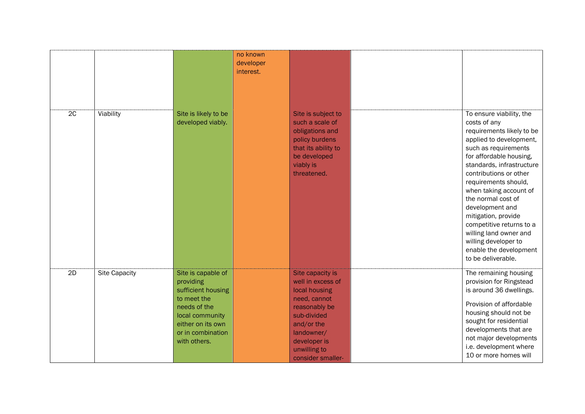|    |                      |                                                                                                                                                                   | no known<br>developer<br>interest. |                                                                                                                                                                                         |                                                                                                                                                                                                                                                                                                                                                                                                                                                            |
|----|----------------------|-------------------------------------------------------------------------------------------------------------------------------------------------------------------|------------------------------------|-----------------------------------------------------------------------------------------------------------------------------------------------------------------------------------------|------------------------------------------------------------------------------------------------------------------------------------------------------------------------------------------------------------------------------------------------------------------------------------------------------------------------------------------------------------------------------------------------------------------------------------------------------------|
| 2C | Viability            | Site is likely to be<br>developed viably.                                                                                                                         |                                    | Site is subject to<br>such a scale of<br>obligations and<br>policy burdens<br>that its ability to<br>be developed<br>viably is<br>threatened.                                           | To ensure viability, the<br>costs of any<br>requirements likely to be<br>applied to development,<br>such as requirements<br>for affordable housing,<br>standards, infrastructure<br>contributions or other<br>requirements should,<br>when taking account of<br>the normal cost of<br>development and<br>mitigation, provide<br>competitive returns to a<br>willing land owner and<br>willing developer to<br>enable the development<br>to be deliverable. |
| 2D | <b>Site Capacity</b> | Site is capable of<br>providing<br>sufficient housing<br>to meet the<br>needs of the<br>local community<br>either on its own<br>or in combination<br>with others. |                                    | Site capacity is<br>well in excess of<br>local housing<br>need, cannot<br>reasonably be<br>sub-divided<br>and/or the<br>landowner/<br>developer is<br>unwilling to<br>consider smaller- | The remaining housing<br>provision for Ringstead<br>is around 36 dwellings.<br>Provision of affordable<br>housing should not be<br>sought for residential<br>developments that are<br>not major developments<br>i.e. development where<br>10 or more homes will                                                                                                                                                                                            |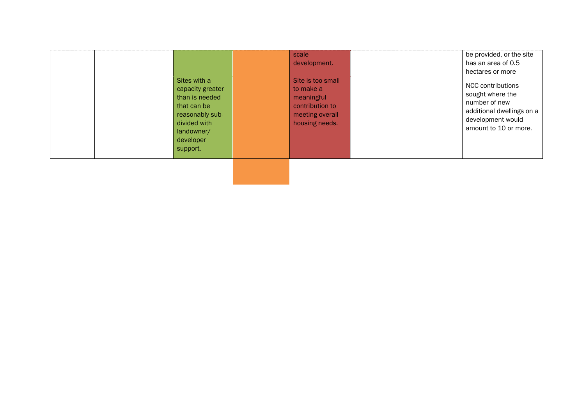| Sites with a<br>capacity greater<br>than is needed<br>that can be<br>reasonably sub-<br>divided with<br>landowner/<br>developer<br>support. | scale<br>development.<br>Site is too small<br>to make a<br>meaningful<br>contribution to<br>meeting overall<br>housing needs. | be provided, or the site<br>has an area of 0.5<br>hectares or more<br>NCC contributions<br>sought where the<br>number of new<br>additional dwellings on a<br>development would<br>amount to 10 or more. |  |
|---------------------------------------------------------------------------------------------------------------------------------------------|-------------------------------------------------------------------------------------------------------------------------------|---------------------------------------------------------------------------------------------------------------------------------------------------------------------------------------------------------|--|
|                                                                                                                                             |                                                                                                                               |                                                                                                                                                                                                         |  |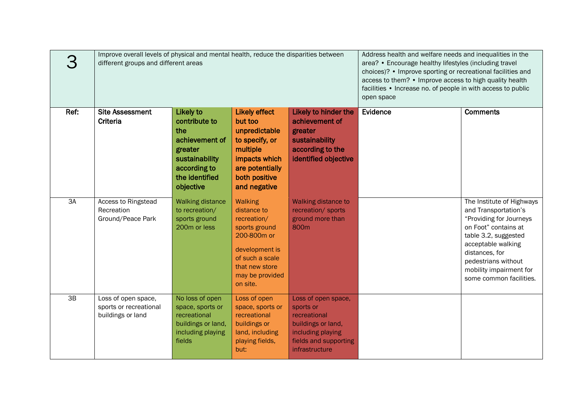|      | Improve overall levels of physical and mental health, reduce the disparities between<br>different groups and different areas |                                                                                                                                        | Address health and welfare needs and inequalities in the<br>area? • Encourage healthy lifestyles (including travel<br>choices)? • Improve sporting or recreational facilities and<br>access to them? • Improve access to high quality health<br>facilities • Increase no. of people in with access to public<br>open space |                                                                                                                                        |          |                                                                                                                                                                                                                                                   |
|------|------------------------------------------------------------------------------------------------------------------------------|----------------------------------------------------------------------------------------------------------------------------------------|----------------------------------------------------------------------------------------------------------------------------------------------------------------------------------------------------------------------------------------------------------------------------------------------------------------------------|----------------------------------------------------------------------------------------------------------------------------------------|----------|---------------------------------------------------------------------------------------------------------------------------------------------------------------------------------------------------------------------------------------------------|
| Ref: | <b>Site Assessment</b><br>Criteria                                                                                           | <b>Likely to</b><br>contribute to<br>the<br>achievement of<br>greater<br>sustainability<br>according to<br>the identified<br>objective | <b>Likely effect</b><br>but too<br>unpredictable<br>to specify, or<br>multiple<br>impacts which<br>are potentially<br>both positive<br>and negative                                                                                                                                                                        | Likely to hinder the<br>achievement of<br>greater<br>sustainability<br>according to the<br>identified objective                        | Evidence | <b>Comments</b>                                                                                                                                                                                                                                   |
| 3A   | Access to Ringstead<br>Recreation<br>Ground/Peace Park                                                                       | <b>Walking distance</b><br>to recreation/<br>sports ground<br>200m or less                                                             | <b>Walking</b><br>distance to<br>recreation/<br>sports ground<br>200-800m or<br>development is<br>of such a scale<br>that new store<br>may be provided<br>on site.                                                                                                                                                         | Walking distance to<br>recreation/ sports<br>ground more than<br>800 <sub>m</sub>                                                      |          | The Institute of Highways<br>and Transportation's<br>"Providing for Journeys<br>on Foot" contains at<br>table 3.2, suggested<br>acceptable walking<br>distances, for<br>pedestrians without<br>mobility impairment for<br>some common facilities. |
| 3B   | Loss of open space,<br>sports or recreational<br>buildings or land                                                           | No loss of open<br>space, sports or<br>recreational<br>buildings or land,<br>including playing<br>fields                               | Loss of open<br>space, sports or<br>recreational<br>buildings or<br>land, including<br>playing fields,<br>but:                                                                                                                                                                                                             | Loss of open space,<br>sports or<br>recreational<br>buildings or land,<br>including playing<br>fields and supporting<br>infrastructure |          |                                                                                                                                                                                                                                                   |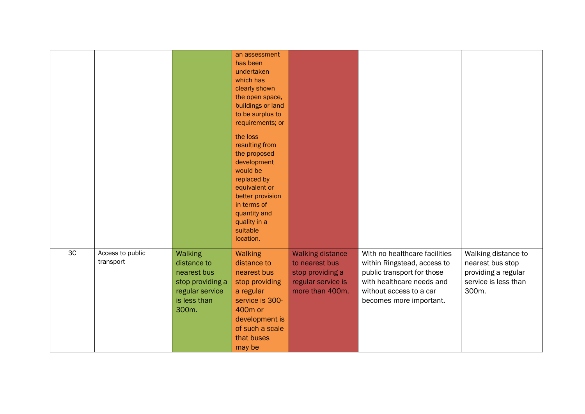|                |                               |                                                                                                       | an assessment<br>has been<br>undertaken<br>which has<br>clearly shown<br>the open space,<br>buildings or land<br>to be surplus to<br>requirements; or<br>the loss<br>resulting from<br>the proposed<br>development<br>would be<br>replaced by<br>equivalent or<br>better provision<br>in terms of<br>quantity and<br>quality in a<br>suitable<br>location. |                                                                                                        |                                                                                                                                                                               |                                                                                                 |
|----------------|-------------------------------|-------------------------------------------------------------------------------------------------------|------------------------------------------------------------------------------------------------------------------------------------------------------------------------------------------------------------------------------------------------------------------------------------------------------------------------------------------------------------|--------------------------------------------------------------------------------------------------------|-------------------------------------------------------------------------------------------------------------------------------------------------------------------------------|-------------------------------------------------------------------------------------------------|
| 3 <sup>C</sup> | Access to public<br>transport | Walking<br>distance to<br>nearest bus<br>stop providing a<br>regular service<br>is less than<br>300m. | Walking<br>distance to<br>nearest bus<br>stop providing<br>a regular<br>service is 300-<br>400 <sub>m</sub> or<br>development is<br>of such a scale<br>that buses<br>may be                                                                                                                                                                                | <b>Walking distance</b><br>to nearest bus<br>stop providing a<br>regular service is<br>more than 400m. | With no healthcare facilities<br>within Ringstead, access to<br>public transport for those<br>with healthcare needs and<br>without access to a car<br>becomes more important. | Walking distance to<br>nearest bus stop<br>providing a regular<br>service is less than<br>300m. |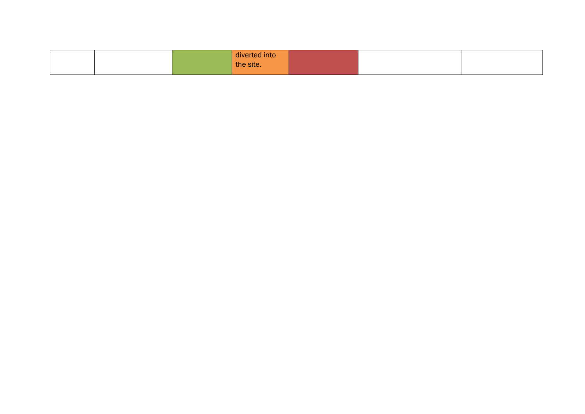|  | diverted into |  |  |
|--|---------------|--|--|
|  | the site.     |  |  |
|  |               |  |  |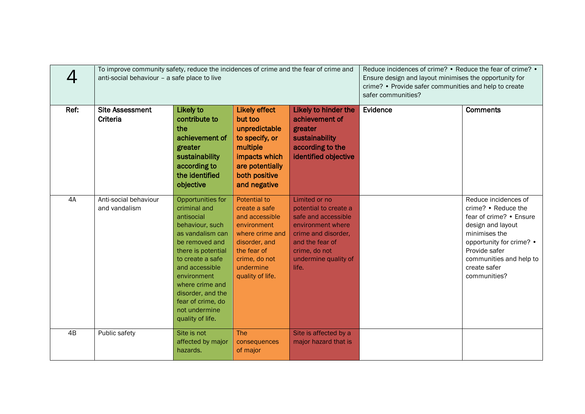|      | To improve community safety, reduce the incidences of crime and the fear of crime and<br>anti-social behaviour - a safe place to live |                                                                                                                                                                                                                                                                                       | Reduce incidences of crime? • Reduce the fear of crime? •<br>Ensure design and layout minimises the opportunity for<br>crime? • Provide safer communities and help to create<br>safer communities? |                                                                                                                                                                                |          |                                                                                                                                                                                                                      |
|------|---------------------------------------------------------------------------------------------------------------------------------------|---------------------------------------------------------------------------------------------------------------------------------------------------------------------------------------------------------------------------------------------------------------------------------------|----------------------------------------------------------------------------------------------------------------------------------------------------------------------------------------------------|--------------------------------------------------------------------------------------------------------------------------------------------------------------------------------|----------|----------------------------------------------------------------------------------------------------------------------------------------------------------------------------------------------------------------------|
| Ref: | <b>Site Assessment</b><br>Criteria                                                                                                    | <b>Likely to</b><br>contribute to<br>the<br>achievement of<br>greater<br>sustainability<br>according to<br>the identified<br>objective                                                                                                                                                | <b>Likely effect</b><br>but too<br>unpredictable<br>to specify, or<br>multiple<br>impacts which<br>are potentially<br>both positive<br>and negative                                                | Likely to hinder the<br>achievement of<br>greater<br>sustainability<br>according to the<br>identified objective                                                                | Evidence | <b>Comments</b>                                                                                                                                                                                                      |
| 4A   | Anti-social behaviour<br>and vandalism                                                                                                | Opportunities for<br>criminal and<br>antisocial<br>behaviour, such<br>as vandalism can<br>be removed and<br>there is potential<br>to create a safe<br>and accessible<br>environment<br>where crime and<br>disorder, and the<br>fear of crime, do<br>not undermine<br>quality of life. | <b>Potential to</b><br>create a safe<br>and accessible<br>environment<br>where crime and<br>disorder, and<br>the fear of<br>crime, do not<br>undermine<br>quality of life.                         | Limited or no<br>potential to create a<br>safe and accessible<br>environment where<br>crime and disorder,<br>and the fear of<br>crime, do not<br>undermine quality of<br>life. |          | Reduce incidences of<br>crime? • Reduce the<br>fear of crime? • Ensure<br>design and layout<br>minimises the<br>opportunity for crime? •<br>Provide safer<br>communities and help to<br>create safer<br>communities? |
| 4B   | Public safety                                                                                                                         | Site is not<br>affected by major<br>hazards.                                                                                                                                                                                                                                          | <b>The</b><br>consequences<br>of major                                                                                                                                                             | Site is affected by a<br>major hazard that is                                                                                                                                  |          |                                                                                                                                                                                                                      |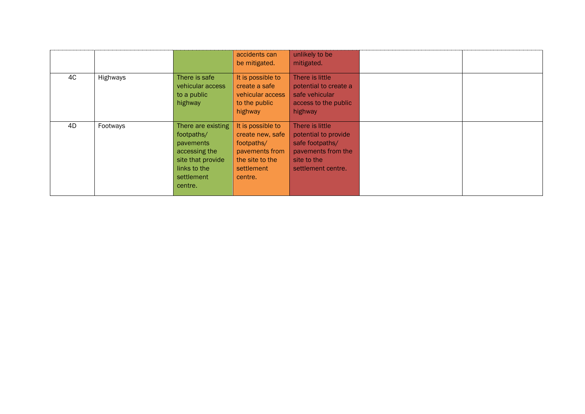|    |          |                                                                                                                              | accidents can<br>be mitigated.                                                                                    | unlikely to be<br>mitigated.                                                                                          |  |
|----|----------|------------------------------------------------------------------------------------------------------------------------------|-------------------------------------------------------------------------------------------------------------------|-----------------------------------------------------------------------------------------------------------------------|--|
| 4C | Highways | There is safe<br>vehicular access<br>to a public<br>highway                                                                  | It is possible to<br>create a safe<br>vehicular access<br>to the public<br>highway                                | There is little<br>potential to create a<br>safe vehicular<br>access to the public<br>highway                         |  |
| 4D | Footways | There are existing<br>footpaths/<br>pavements<br>accessing the<br>site that provide<br>links to the<br>settlement<br>centre. | It is possible to<br>create new, safe<br>footpaths/<br>pavements from<br>the site to the<br>settlement<br>centre. | There is little<br>potential to provide<br>safe footpaths/<br>pavements from the<br>site to the<br>settlement centre. |  |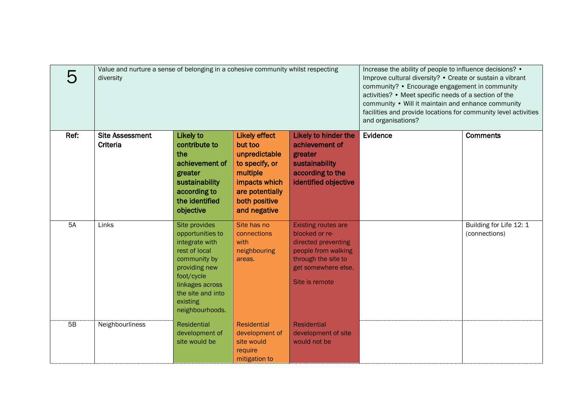|           | Value and nurture a sense of belonging in a cohesive community whilst respecting<br>diversity |                                                                                                                                                                                            | Increase the ability of people to influence decisions? •<br>Improve cultural diversity? • Create or sustain a vibrant<br>community? • Encourage engagement in community<br>activities? • Meet specific needs of a section of the<br>community • Will it maintain and enhance community<br>facilities and provide locations for community level activities<br>and organisations? |                                                                                                                                                            |          |                                          |
|-----------|-----------------------------------------------------------------------------------------------|--------------------------------------------------------------------------------------------------------------------------------------------------------------------------------------------|---------------------------------------------------------------------------------------------------------------------------------------------------------------------------------------------------------------------------------------------------------------------------------------------------------------------------------------------------------------------------------|------------------------------------------------------------------------------------------------------------------------------------------------------------|----------|------------------------------------------|
| Ref:      | <b>Site Assessment</b><br>Criteria                                                            | Likely to<br>contribute to<br>the<br>achievement of<br>greater<br>sustainability<br>according to<br>the identified<br>objective                                                            | <b>Likely effect</b><br>but too<br>unpredictable<br>to specify, or<br>multiple<br>impacts which<br>are potentially<br>both positive<br>and negative                                                                                                                                                                                                                             | Likely to hinder the<br>achievement of<br>greater<br>sustainability<br>according to the<br>identified objective                                            | Evidence | <b>Comments</b>                          |
| <b>5A</b> | Links                                                                                         | Site provides<br>opportunities to<br>integrate with<br>rest of local<br>community by<br>providing new<br>foot/cycle<br>linkages across<br>the site and into<br>existing<br>neighbourhoods. | Site has no<br>connections<br>with<br>neighbouring<br>areas.                                                                                                                                                                                                                                                                                                                    | <b>Existing routes are</b><br>blocked or re-<br>directed preventing<br>people from walking<br>through the site to<br>get somewhere else.<br>Site is remote |          | Building for Life 12: 1<br>(connections) |
| 5B        | Neighbourliness                                                                               | Residential<br>development of<br>site would be                                                                                                                                             | Residential<br>development of<br>site would<br>require<br>mitigation to                                                                                                                                                                                                                                                                                                         | <b>Residential</b><br>development of site<br>would not be                                                                                                  |          |                                          |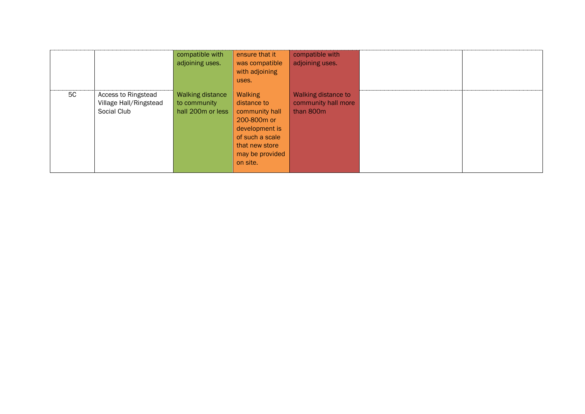|    |                                                              | compatible with<br>adjoining uses.                           | ensure that it<br>was compatible<br>with adjoining<br>uses.                                                                                               | compatible with<br>adjoining uses.                      |  |
|----|--------------------------------------------------------------|--------------------------------------------------------------|-----------------------------------------------------------------------------------------------------------------------------------------------------------|---------------------------------------------------------|--|
| 5C | Access to Ringstead<br>Village Hall/Ringstead<br>Social Club | <b>Walking distance</b><br>to community<br>hall 200m or less | Walking<br>distance to<br>community hall<br>200-800 <sub>m</sub> or<br>development is<br>of such a scale<br>that new store<br>may be provided<br>on site. | Walking distance to<br>community hall more<br>than 800m |  |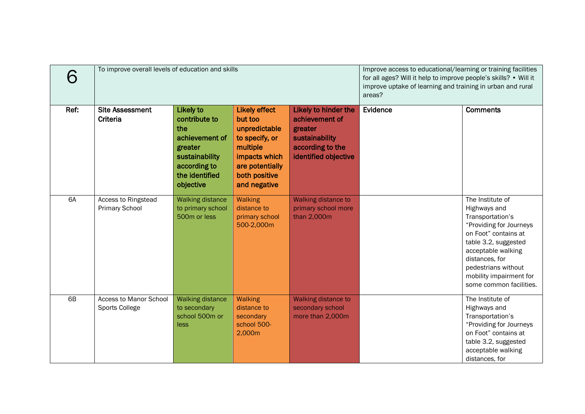| 6    | To improve overall levels of education and skills |                                                                                                                                        | Improve access to educational/learning or training facilities<br>for all ages? Will it help to improve people's skills? • Will it<br>improve uptake of learning and training in urban and rural<br>areas? |                                                                                                                 |          |                                                                                                                                                                                                                                                      |
|------|---------------------------------------------------|----------------------------------------------------------------------------------------------------------------------------------------|-----------------------------------------------------------------------------------------------------------------------------------------------------------------------------------------------------------|-----------------------------------------------------------------------------------------------------------------|----------|------------------------------------------------------------------------------------------------------------------------------------------------------------------------------------------------------------------------------------------------------|
| Ref: | <b>Site Assessment</b><br>Criteria                | <b>Likely to</b><br>contribute to<br>the<br>achievement of<br>greater<br>sustainability<br>according to<br>the identified<br>objective | <b>Likely effect</b><br>but too<br>unpredictable<br>to specify, or<br>multiple<br>impacts which<br>are potentially<br>both positive<br>and negative                                                       | Likely to hinder the<br>achievement of<br>greater<br>sustainability<br>according to the<br>identified objective | Evidence | <b>Comments</b>                                                                                                                                                                                                                                      |
| 6A   | Access to Ringstead<br><b>Primary School</b>      | <b>Walking distance</b><br>to primary school<br>500m or less                                                                           | <b>Walking</b><br>distance to<br>primary school<br>500-2,000m                                                                                                                                             | Walking distance to<br>primary school more<br>than 2,000m                                                       |          | The Institute of<br>Highways and<br>Transportation's<br>"Providing for Journeys<br>on Foot" contains at<br>table 3.2, suggested<br>acceptable walking<br>distances, for<br>pedestrians without<br>mobility impairment for<br>some common facilities. |
| 6B   | <b>Access to Manor School</b><br>Sports College   | <b>Walking distance</b><br>to secondary<br>school 500m or<br>less                                                                      | <b>Walking</b><br>distance to<br>secondary<br>school 500-<br>2,000m                                                                                                                                       | Walking distance to<br>secondary school<br>more than 2,000m                                                     |          | The Institute of<br>Highways and<br>Transportation's<br>"Providing for Journeys<br>on Foot" contains at<br>table 3.2, suggested<br>acceptable walking<br>distances, for                                                                              |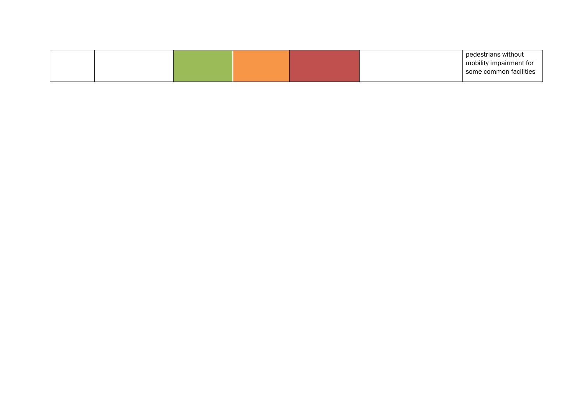|  |  |  | pedestrians without     |
|--|--|--|-------------------------|
|  |  |  | mobility impairment for |
|  |  |  | some common facilities  |
|  |  |  |                         |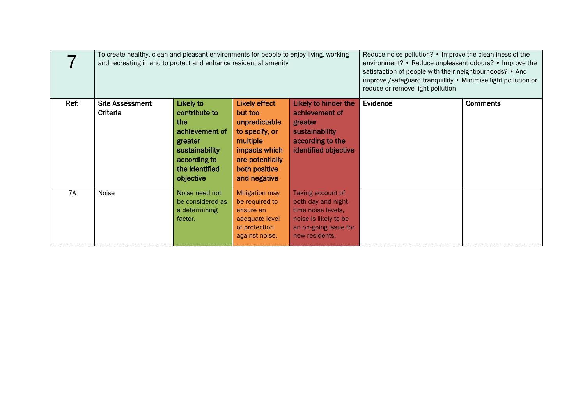|      | To create healthy, clean and pleasant environments for people to enjoy living, working<br>and recreating in and to protect and enhance residential amenity |                                                                                                                                 |                                                                                                                                                     |                                                                                                                                    | Reduce noise pollution? • Improve the cleanliness of the<br>environment? • Reduce unpleasant odours? • Improve the<br>satisfaction of people with their neighbourhoods? • And<br>improve /safeguard tranquillity . Minimise light pollution or<br>reduce or remove light pollution |                 |
|------|------------------------------------------------------------------------------------------------------------------------------------------------------------|---------------------------------------------------------------------------------------------------------------------------------|-----------------------------------------------------------------------------------------------------------------------------------------------------|------------------------------------------------------------------------------------------------------------------------------------|------------------------------------------------------------------------------------------------------------------------------------------------------------------------------------------------------------------------------------------------------------------------------------|-----------------|
| Ref: | <b>Site Assessment</b><br>Criteria                                                                                                                         | Likely to<br>contribute to<br>the<br>achievement of<br>greater<br>sustainability<br>according to<br>the identified<br>objective | <b>Likely effect</b><br>but too<br>unpredictable<br>to specify, or<br>multiple<br>impacts which<br>are potentially<br>both positive<br>and negative | Likely to hinder the<br>achievement of<br>greater<br>sustainability<br>according to the<br>identified objective                    | Evidence                                                                                                                                                                                                                                                                           | <b>Comments</b> |
| 7A   | Noise                                                                                                                                                      | Noise need not<br>be considered as<br>a determining<br>factor.                                                                  | <b>Mitigation may</b><br>be required to<br>ensure an<br>adequate level<br>of protection<br>against noise.                                           | Taking account of<br>both day and night-<br>time noise levels,<br>noise is likely to be<br>an on-going issue for<br>new residents. |                                                                                                                                                                                                                                                                                    |                 |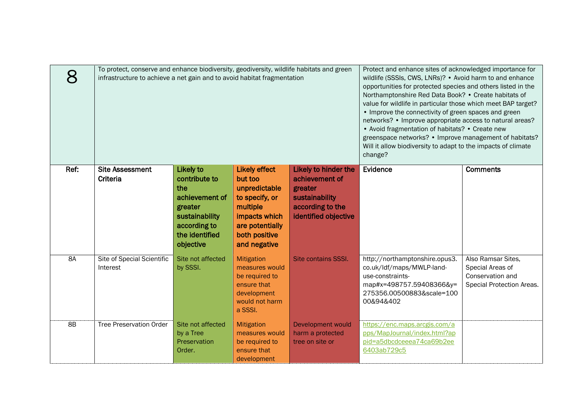| $\boldsymbol{\mathsf{R}}$ | To protect, conserve and enhance biodiversity, geodiversity, wildlife habitats and green<br>infrastructure to achieve a net gain and to avoid habitat fragmentation |                                                                                                                                 | Protect and enhance sites of acknowledged importance for<br>wildlife (SSSIs, CWS, LNRs)? • Avoid harm to and enhance<br>opportunities for protected species and others listed in the<br>Northamptonshire Red Data Book? • Create habitats of<br>value for wildlife in particular those which meet BAP target?<br>• Improve the connectivity of green spaces and green<br>networks? • Improve appropriate access to natural areas?<br>• Avoid fragmentation of habitats? • Create new<br>greenspace networks? • Improve management of habitats?<br>Will it allow biodiversity to adapt to the impacts of climate<br>change? |                                                                                                                 |                                                                                                                                                       |                                                                                         |
|---------------------------|---------------------------------------------------------------------------------------------------------------------------------------------------------------------|---------------------------------------------------------------------------------------------------------------------------------|----------------------------------------------------------------------------------------------------------------------------------------------------------------------------------------------------------------------------------------------------------------------------------------------------------------------------------------------------------------------------------------------------------------------------------------------------------------------------------------------------------------------------------------------------------------------------------------------------------------------------|-----------------------------------------------------------------------------------------------------------------|-------------------------------------------------------------------------------------------------------------------------------------------------------|-----------------------------------------------------------------------------------------|
| Ref:                      | <b>Site Assessment</b><br>Criteria                                                                                                                                  | Likely to<br>contribute to<br>the<br>achievement of<br>greater<br>sustainability<br>according to<br>the identified<br>objective | <b>Likely effect</b><br>but too<br>unpredictable<br>to specify, or<br>multiple<br>impacts which<br>are potentially<br>both positive<br>and negative                                                                                                                                                                                                                                                                                                                                                                                                                                                                        | Likely to hinder the<br>achievement of<br>greater<br>sustainability<br>according to the<br>identified objective | Evidence                                                                                                                                              | <b>Comments</b>                                                                         |
| <b>8A</b>                 | Site of Special Scientific<br>Interest                                                                                                                              | Site not affected<br>by SSSI.                                                                                                   | Mitigation<br>measures would<br>be required to<br>ensure that<br>development<br>would not harm<br>a SSSI.                                                                                                                                                                                                                                                                                                                                                                                                                                                                                                                  | Site contains SSSI.                                                                                             | http://northamptonshire.opus3.<br>co.uk/ldf/maps/MWLP-land-<br>use-constraints-<br>map#x=498757.59408366&y=<br>275356.00500883&scale=100<br>00&94&402 | Also Ramsar Sites,<br>Special Areas of<br>Conservation and<br>Special Protection Areas. |
| 8B                        | <b>Tree Preservation Order</b>                                                                                                                                      | Site not affected<br>by a Tree<br>Preservation<br>Order.                                                                        | Mitigation<br>measures would<br>be required to<br>ensure that<br>development                                                                                                                                                                                                                                                                                                                                                                                                                                                                                                                                               | Development would<br>harm a protected<br>tree on site or                                                        | https://enc.maps.arcgis.com/a<br>pps/MapJournal/index.html?ap<br>pid=a5dbcdceeea74ca69b2ee<br>6403ab729c5                                             |                                                                                         |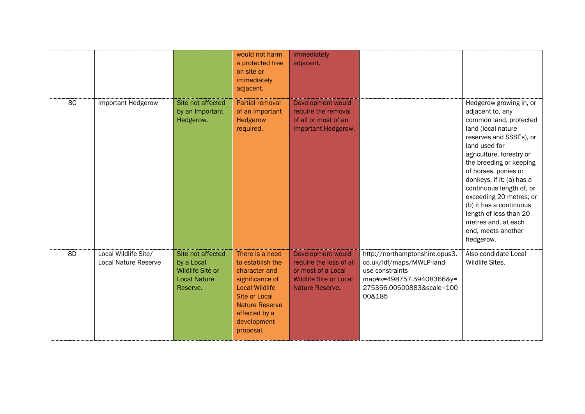|    |                                              |                                                                                        | would not harm<br>a protected tree<br>on site or<br>immediately<br>adjacent.                                                                                                                   | immediately<br>adjacent.                                                                                               |                                                                                                                                                    |                                                                                                                                                                                                                                                                                                                                                                                                                            |
|----|----------------------------------------------|----------------------------------------------------------------------------------------|------------------------------------------------------------------------------------------------------------------------------------------------------------------------------------------------|------------------------------------------------------------------------------------------------------------------------|----------------------------------------------------------------------------------------------------------------------------------------------------|----------------------------------------------------------------------------------------------------------------------------------------------------------------------------------------------------------------------------------------------------------------------------------------------------------------------------------------------------------------------------------------------------------------------------|
| 8C | Important Hedgerow                           | Site not affected<br>by an Important<br>Hedgerow.                                      | <b>Partial removal</b><br>of an Important<br>Hedgerow<br>required.                                                                                                                             | Development would<br>require the removal<br>of all or most of an<br>Important Hedgerow.                                |                                                                                                                                                    | Hedgerow growing in, or<br>adjacent to, any<br>common land, protected<br>land (local nature<br>reserves and SSSI"s), or<br>land used for<br>agriculture, forestry or<br>the breeding or keeping<br>of horses, ponies or<br>donkeys, if it: (a) has a<br>continuous length of, or<br>exceeding 20 metres; or<br>(b) it has a continuous<br>length of less than 20<br>metres and, at each<br>end, meets another<br>hedgerow. |
| 8D | Local Wildlife Site/<br>Local Nature Reserve | Site not affected<br>by a Local<br>Wildlife Site or<br><b>Local Nature</b><br>Reserve. | There is a need<br>to establish the<br>character and<br>significance of<br><b>Local Wildlife</b><br><b>Site or Local</b><br><b>Nature Reserve</b><br>affected by a<br>development<br>proposal. | Development would<br>require the loss of all<br>or most of a Local<br><b>Wildlife Site or Local</b><br>Nature Reserve. | http://northamptonshire.opus3.<br>co.uk/ldf/maps/MWLP-land-<br>use-constraints-<br>map#x=498757.59408366&y=<br>275356.00500883&scale=100<br>00&185 | Also candidate Local<br>Wildlife Sites.                                                                                                                                                                                                                                                                                                                                                                                    |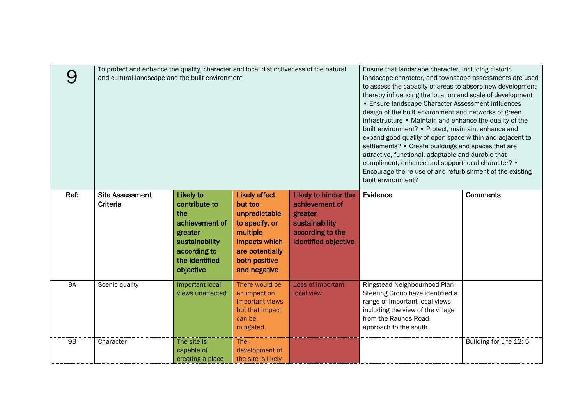|           | To protect and enhance the quality, character and local distinctiveness of the natural<br>and cultural landscape and the built environment |                                                                                                                                        | Ensure that landscape character, including historic<br>landscape character, and townscape assessments are used<br>to assess the capacity of areas to absorb new development<br>thereby influencing the location and scale of development<br>• Ensure landscape Character Assessment influences<br>design of the built environment and networks of green<br>infrastructure • Maintain and enhance the quality of the<br>built environment? • Protect, maintain, enhance and<br>expand good quality of open space within and adjacent to<br>settlements? • Create buildings and spaces that are<br>attractive, functional, adaptable and durable that<br>compliment, enhance and support local character? •<br>Encourage the re-use of and refurbishment of the existing<br>built environment? |                                                                                                                 |                                                                                                                                                                                           |                         |
|-----------|--------------------------------------------------------------------------------------------------------------------------------------------|----------------------------------------------------------------------------------------------------------------------------------------|----------------------------------------------------------------------------------------------------------------------------------------------------------------------------------------------------------------------------------------------------------------------------------------------------------------------------------------------------------------------------------------------------------------------------------------------------------------------------------------------------------------------------------------------------------------------------------------------------------------------------------------------------------------------------------------------------------------------------------------------------------------------------------------------|-----------------------------------------------------------------------------------------------------------------|-------------------------------------------------------------------------------------------------------------------------------------------------------------------------------------------|-------------------------|
| Ref:      | <b>Site Assessment</b><br>Criteria                                                                                                         | <b>Likely to</b><br>contribute to<br>the<br>achievement of<br>greater<br>sustainability<br>according to<br>the identified<br>objective | <b>Likely effect</b><br>but too<br>unpredictable<br>to specify, or<br>multiple<br>impacts which<br>are potentially<br>both positive<br>and negative                                                                                                                                                                                                                                                                                                                                                                                                                                                                                                                                                                                                                                          | Likely to hinder the<br>achievement of<br>greater<br>sustainability<br>according to the<br>identified objective | Evidence                                                                                                                                                                                  | <b>Comments</b>         |
| <b>9A</b> | Scenic quality                                                                                                                             | Important local<br>views unaffected                                                                                                    | There would be<br>an impact on<br>important views<br>but that impact<br>can be<br>mitigated.                                                                                                                                                                                                                                                                                                                                                                                                                                                                                                                                                                                                                                                                                                 | Loss of important<br>local view                                                                                 | Ringstead Neighbourhood Plan<br>Steering Group have identified a<br>range of important local views<br>including the view of the village<br>from the Raunds Road<br>approach to the south. |                         |
| <b>9B</b> | Character                                                                                                                                  | The site is<br>capable of<br>creating a place                                                                                          | <b>The</b><br>development of<br>the site is likely                                                                                                                                                                                                                                                                                                                                                                                                                                                                                                                                                                                                                                                                                                                                           |                                                                                                                 |                                                                                                                                                                                           | Building for Life 12: 5 |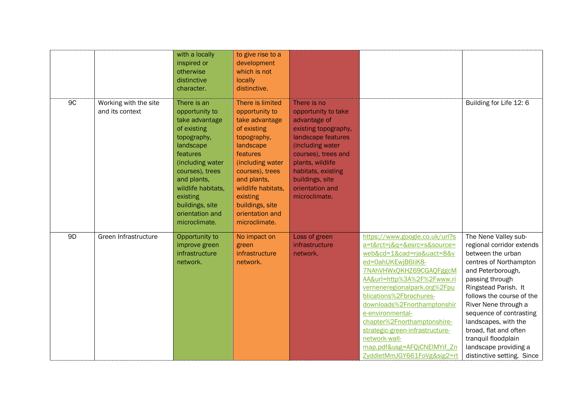|                |                                          | with a locally<br>inspired or<br>otherwise<br>distinctive<br>character.                                                                                                                                                                               | to give rise to a<br>development<br>which is not<br>locally<br>distinctive.                                                                                                                                                                                |                                                                                                                                                                                                                                              |                                                                                                                                                                                                                                                                                                                                                                                                                                          |                                                                                                                                                                                                                                                                                                                                                                                 |
|----------------|------------------------------------------|-------------------------------------------------------------------------------------------------------------------------------------------------------------------------------------------------------------------------------------------------------|------------------------------------------------------------------------------------------------------------------------------------------------------------------------------------------------------------------------------------------------------------|----------------------------------------------------------------------------------------------------------------------------------------------------------------------------------------------------------------------------------------------|------------------------------------------------------------------------------------------------------------------------------------------------------------------------------------------------------------------------------------------------------------------------------------------------------------------------------------------------------------------------------------------------------------------------------------------|---------------------------------------------------------------------------------------------------------------------------------------------------------------------------------------------------------------------------------------------------------------------------------------------------------------------------------------------------------------------------------|
| 9C             | Working with the site<br>and its context | There is an<br>opportunity to<br>take advantage<br>of existing<br>topography,<br>landscape<br>features<br>(including water<br>courses), trees<br>and plants,<br>wildlife habitats,<br>existing<br>buildings, site<br>orientation and<br>microclimate. | There is limited<br>opportunity to<br>take advantage<br>of existing<br>topography,<br>landscape<br>features<br>(including water<br>courses), trees<br>and plants,<br>wildlife habitats,<br>existing<br>buildings, site<br>orientation and<br>microclimate. | There is no<br>opportunity to take<br>advantage of<br>existing topography,<br>landscape features<br>(including water<br>courses), trees and<br>plants, wildlife<br>habitats, existing<br>buildings, site<br>orientation and<br>microclimate. |                                                                                                                                                                                                                                                                                                                                                                                                                                          | Building for Life 12: 6                                                                                                                                                                                                                                                                                                                                                         |
| 9 <sub>D</sub> | Green Infrastructure                     | Opportunity to<br>improve green<br>infrastructure<br>network.                                                                                                                                                                                         | No impact on<br>green<br>infrastructure<br>network.                                                                                                                                                                                                        | Loss of green<br>infrastructure<br>network.                                                                                                                                                                                                  | https://www.google.co.uk/url?s<br>a=t&rct=j&g=&esrc=s&source=<br>web&cd=1&cad=rja&uact=8&v<br>ed=0ahUKEwjB6liK8-<br>7NAhVHWxQKHZ69CGAQFggcM<br>AA&url=http%3A%2F%2Fwww.ri<br>verneneregionalpark.org%2Fpu<br>blications%2Fbrochures-<br>downloads%2Fnorthamptonshir<br>e-environmental-<br>chapter%2Fnorthamptonshire-<br>strategic-green-infrastructure-<br>network-wall-<br>map.pdf&usg=AFQjCNEIMYif_Zn<br>ZyddletMmJGY661FoVg&sig2=rt | The Nene Valley sub-<br>regional corridor extends<br>between the urban<br>centres of Northampton<br>and Peterborough,<br>passing through<br>Ringstead Parish. It<br>follows the course of the<br>River Nene through a<br>sequence of contrasting<br>landscapes, with the<br>broad, flat and often<br>tranquil floodplain<br>landscape providing a<br>distinctive setting. Since |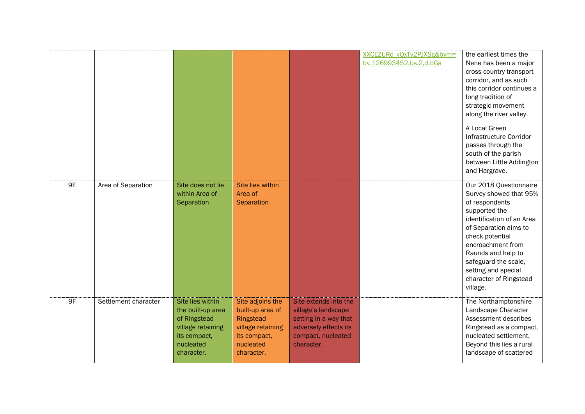|    |                      |                                                                                                                       |                                                                                                                   |                                                                                                                                    | XXCEZURc_yQxTy2PJXSg&bvm=<br>bv.126993452.bs.2.d.bGs | the earliest times the<br>Nene has been a major<br>cross-country transport<br>corridor, and as such<br>this corridor continues a<br>long tradition of<br>strategic movement<br>along the river valley.                                                                                       |
|----|----------------------|-----------------------------------------------------------------------------------------------------------------------|-------------------------------------------------------------------------------------------------------------------|------------------------------------------------------------------------------------------------------------------------------------|------------------------------------------------------|----------------------------------------------------------------------------------------------------------------------------------------------------------------------------------------------------------------------------------------------------------------------------------------------|
|    |                      |                                                                                                                       |                                                                                                                   |                                                                                                                                    |                                                      | A Local Green<br>Infrastructure Corridor<br>passes through the<br>south of the parish<br>between Little Addington<br>and Hargrave.                                                                                                                                                           |
| 9E | Area of Separation   | Site does not lie<br>within Area of<br>Separation                                                                     | Site lies within<br>Area of<br>Separation                                                                         |                                                                                                                                    |                                                      | Our 2018 Questionnaire<br>Survey showed that 95%<br>of respondents<br>supported the<br>identification of an Area<br>of Separation aims to<br>check potential<br>encroachment from<br>Raunds and help to<br>safeguard the scale,<br>setting and special<br>character of Ringstead<br>village. |
| 9F | Settlement character | Site lies within<br>the built-up area<br>of Ringstead<br>village retaining<br>its compact,<br>nucleated<br>character. | Site adjoins the<br>built-up area of<br>Ringstead<br>village retaining<br>its compact,<br>nucleated<br>character. | Site extends into the<br>village's landscape<br>setting in a way that<br>adversely effects its<br>compact, nucleated<br>character. |                                                      | The Northamptonshire<br>Landscape Character<br>Assessment describes<br>Ringstead as a compact,<br>nucleated settlement.<br>Beyond this lies a rural<br>landscape of scattered                                                                                                                |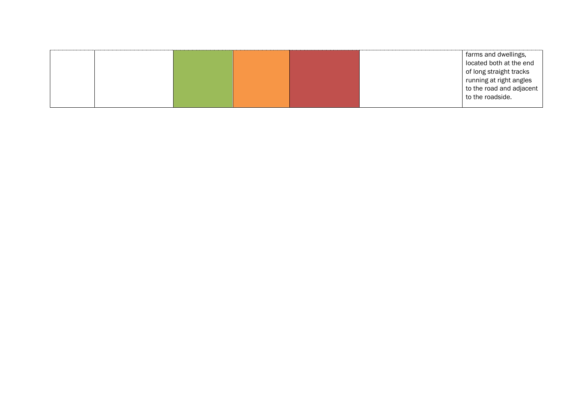|  |  |  | farms and dwellings,     |
|--|--|--|--------------------------|
|  |  |  | located both at the end  |
|  |  |  | of long straight tracks  |
|  |  |  | running at right angles  |
|  |  |  | to the road and adjacent |
|  |  |  | to the roadside.         |
|  |  |  |                          |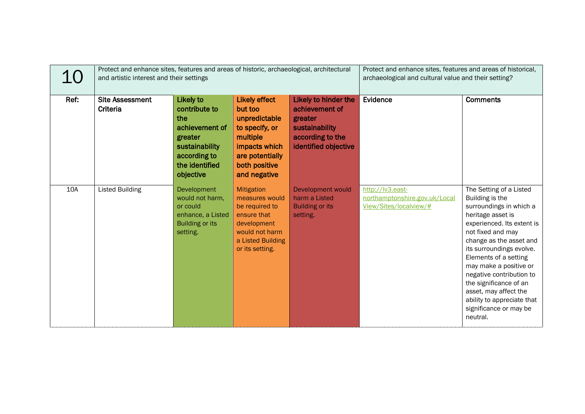| 10   | Protect and enhance sites, features and areas of historic, archaeological, architectural<br>and artistic interest and their settings |                                                                                                                                 | Protect and enhance sites, features and areas of historical,<br>archaeological and cultural value and their setting?                                |                                                                                                                 |                                                                             |                                                                                                                                                                                                                                                                                                                                                                                                            |
|------|--------------------------------------------------------------------------------------------------------------------------------------|---------------------------------------------------------------------------------------------------------------------------------|-----------------------------------------------------------------------------------------------------------------------------------------------------|-----------------------------------------------------------------------------------------------------------------|-----------------------------------------------------------------------------|------------------------------------------------------------------------------------------------------------------------------------------------------------------------------------------------------------------------------------------------------------------------------------------------------------------------------------------------------------------------------------------------------------|
| Ref: | <b>Site Assessment</b><br>Criteria                                                                                                   | Likely to<br>contribute to<br>the<br>achievement of<br>greater<br>sustainability<br>according to<br>the identified<br>objective | <b>Likely effect</b><br>but too<br>unpredictable<br>to specify, or<br>multiple<br>impacts which<br>are potentially<br>both positive<br>and negative | Likely to hinder the<br>achievement of<br>greater<br>sustainability<br>according to the<br>identified objective | Evidence                                                                    | <b>Comments</b>                                                                                                                                                                                                                                                                                                                                                                                            |
| 10A  | <b>Listed Building</b>                                                                                                               | Development<br>would not harm,<br>or could<br>enhance, a Listed<br><b>Building or its</b><br>setting.                           | Mitigation<br>measures would<br>be required to<br>ensure that<br>development<br>would not harm<br>a Listed Building<br>or its setting.              | Development would<br>harm a Listed<br><b>Building or its</b><br>setting.                                        | http://lv3.east-<br>northamptonshire.gov.uk/Local<br>View/Sites/localview/# | The Setting of a Listed<br>Building is the<br>surroundings in which a<br>heritage asset is<br>experienced. Its extent is<br>not fixed and may<br>change as the asset and<br>its surroundings evolve.<br>Elements of a setting<br>may make a positive or<br>negative contribution to<br>the significance of an<br>asset, may affect the<br>ability to appreciate that<br>significance or may be<br>neutral. |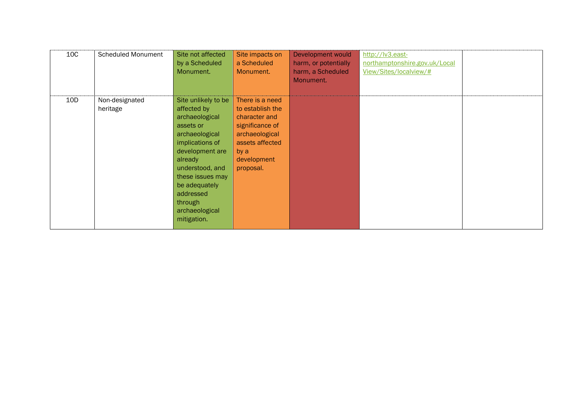| 10C | <b>Scheduled Monument</b>  | Site not affected<br>by a Scheduled<br>Monument.                                                                                                                                                                                                      | Site impacts on<br>a Scheduled<br>Monument.                                                                                                      | Development would<br>harm, or potentially<br>harm, a Scheduled<br>Monument. | http://lv3.east-<br>northamptonshire.gov.uk/Local<br>View/Sites/localview/# |  |
|-----|----------------------------|-------------------------------------------------------------------------------------------------------------------------------------------------------------------------------------------------------------------------------------------------------|--------------------------------------------------------------------------------------------------------------------------------------------------|-----------------------------------------------------------------------------|-----------------------------------------------------------------------------|--|
| 10D | Non-designated<br>heritage | Site unlikely to be<br>affected by<br>archaeological<br>assets or<br>archaeological<br>implications of<br>development are<br>already<br>understood, and<br>these issues may<br>be adequately<br>addressed<br>through<br>archaeological<br>mitigation. | There is a need<br>to establish the<br>character and<br>significance of<br>archaeological<br>assets affected<br>by a<br>development<br>proposal. |                                                                             |                                                                             |  |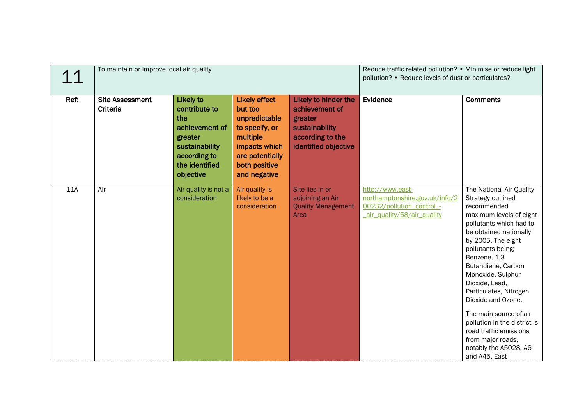| 11   | To maintain or improve local air quality |                                                                                                                                        | Reduce traffic related pollution? • Minimise or reduce light<br>pollution? • Reduce levels of dust or particulates?                                 |                                                                                                                 |                                                                                                               |                                                                                                                                                                                                                                                                                                                                                                                                                                                                         |
|------|------------------------------------------|----------------------------------------------------------------------------------------------------------------------------------------|-----------------------------------------------------------------------------------------------------------------------------------------------------|-----------------------------------------------------------------------------------------------------------------|---------------------------------------------------------------------------------------------------------------|-------------------------------------------------------------------------------------------------------------------------------------------------------------------------------------------------------------------------------------------------------------------------------------------------------------------------------------------------------------------------------------------------------------------------------------------------------------------------|
| Ref: | <b>Site Assessment</b><br>Criteria       | <b>Likely to</b><br>contribute to<br>the<br>achievement of<br>greater<br>sustainability<br>according to<br>the identified<br>objective | <b>Likely effect</b><br>but too<br>unpredictable<br>to specify, or<br>multiple<br>impacts which<br>are potentially<br>both positive<br>and negative | Likely to hinder the<br>achievement of<br>greater<br>sustainability<br>according to the<br>identified objective | Evidence                                                                                                      | <b>Comments</b>                                                                                                                                                                                                                                                                                                                                                                                                                                                         |
| 11A  | Air                                      | Air quality is not a<br>consideration                                                                                                  | Air quality is<br>likely to be a<br>consideration                                                                                                   | Site lies in or<br>adjoining an Air<br><b>Quality Management</b><br>Area                                        | http://www.east-<br>northamptonshire.gov.uk/info/2<br>00232/pollution_control_-<br>air quality/58/air quality | The National Air Quality<br>Strategy outlined<br>recommended<br>maximum levels of eight<br>pollutants which had to<br>be obtained nationally<br>by 2005. The eight<br>pollutants being;<br>Benzene, 1,3<br>Butandiene, Carbon<br>Monoxide, Sulphur<br>Dioxide, Lead,<br>Particulates, Nitrogen<br>Dioxide and Ozone.<br>The main source of air<br>pollution in the district is<br>road traffic emissions<br>from major roads,<br>notably the A5028, A6<br>and A45. East |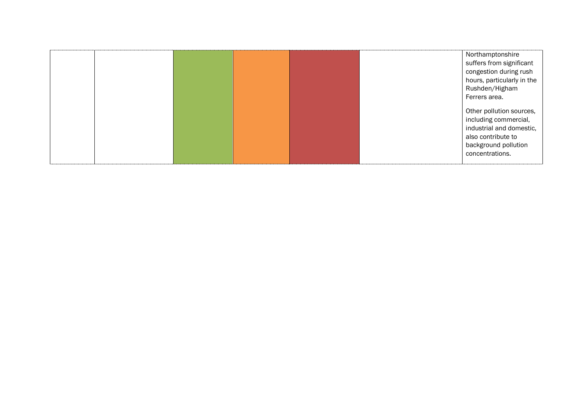|  |  |  | Northamptonshire           |
|--|--|--|----------------------------|
|  |  |  | suffers from significant   |
|  |  |  | congestion during rush     |
|  |  |  | hours, particularly in the |
|  |  |  | Rushden/Higham             |
|  |  |  | Ferrers area.              |
|  |  |  |                            |
|  |  |  | Other pollution sources,   |
|  |  |  | including commercial,      |
|  |  |  | industrial and domestic,   |
|  |  |  | also contribute to         |
|  |  |  | background pollution       |
|  |  |  | concentrations.            |
|  |  |  |                            |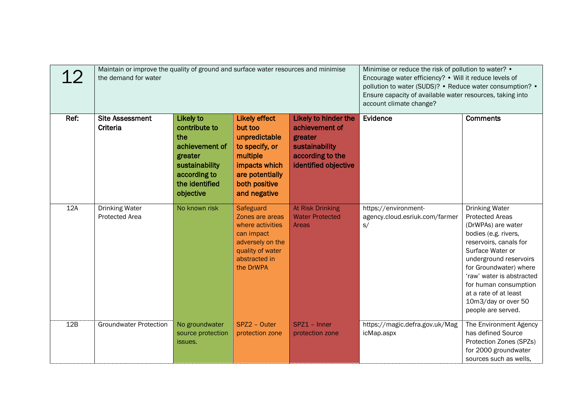| 12   | Maintain or improve the quality of ground and surface water resources and minimise<br>the demand for water |                                                                                                                                        | Minimise or reduce the risk of pollution to water? •<br>Encourage water efficiency? • Will it reduce levels of<br>pollution to water (SUDS)? • Reduce water consumption? •<br>Ensure capacity of available water resources, taking into<br>account climate change? |                                                                                                                 |                                                              |                                                                                                                                                                                                                                                                                                                             |
|------|------------------------------------------------------------------------------------------------------------|----------------------------------------------------------------------------------------------------------------------------------------|--------------------------------------------------------------------------------------------------------------------------------------------------------------------------------------------------------------------------------------------------------------------|-----------------------------------------------------------------------------------------------------------------|--------------------------------------------------------------|-----------------------------------------------------------------------------------------------------------------------------------------------------------------------------------------------------------------------------------------------------------------------------------------------------------------------------|
| Ref: | <b>Site Assessment</b><br>Criteria                                                                         | <b>Likely to</b><br>contribute to<br>the<br>achievement of<br>greater<br>sustainability<br>according to<br>the identified<br>objective | <b>Likely effect</b><br>but too<br>unpredictable<br>to specify, or<br>multiple<br>impacts which<br>are potentially<br>both positive<br>and negative                                                                                                                | Likely to hinder the<br>achievement of<br>greater<br>sustainability<br>according to the<br>identified objective | Evidence                                                     | <b>Comments</b>                                                                                                                                                                                                                                                                                                             |
| 12A  | <b>Drinking Water</b><br>Protected Area                                                                    | No known risk                                                                                                                          | Safeguard<br>Zones are areas<br>where activities<br>can impact<br>adversely on the<br>quality of water<br>abstracted in<br>the DrWPA                                                                                                                               | <b>At Risk Drinking</b><br><b>Water Protected</b><br>Areas                                                      | https://environment-<br>agency.cloud.esriuk.com/farmer<br>S/ | <b>Drinking Water</b><br><b>Protected Areas</b><br>(DrWPAs) are water<br>bodies (e.g. rivers,<br>reservoirs, canals for<br>Surface Water or<br>underground reservoirs<br>for Groundwater) where<br>'raw' water is abstracted<br>for human consumption<br>at a rate of at least<br>10m3/day or over 50<br>people are served. |
| 12B  | <b>Groundwater Protection</b>                                                                              | No groundwater<br>source protection<br>issues.                                                                                         | SPZ2 - Outer<br>protection zone                                                                                                                                                                                                                                    | SPZ1 - Inner<br>protection zone                                                                                 | https://magic.defra.gov.uk/Mag<br>icMap.aspx                 | The Environment Agency<br>has defined Source<br>Protection Zones (SPZs)<br>for 2000 groundwater<br>sources such as wells,                                                                                                                                                                                                   |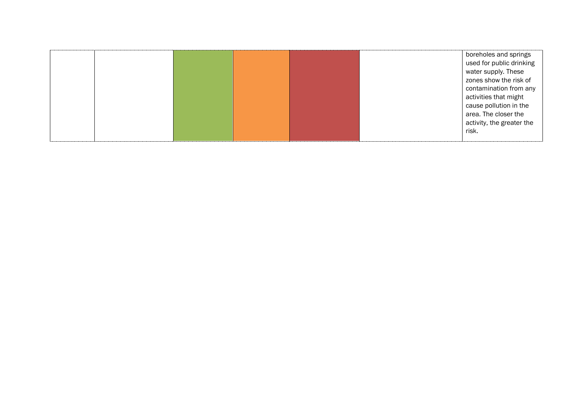|  |  |  | boreholes and springs     |
|--|--|--|---------------------------|
|  |  |  | used for public drinking  |
|  |  |  | water supply. These       |
|  |  |  | zones show the risk of    |
|  |  |  | contamination from any    |
|  |  |  | activities that might     |
|  |  |  | cause pollution in the    |
|  |  |  | area. The closer the      |
|  |  |  | activity, the greater the |
|  |  |  | risk.                     |
|  |  |  |                           |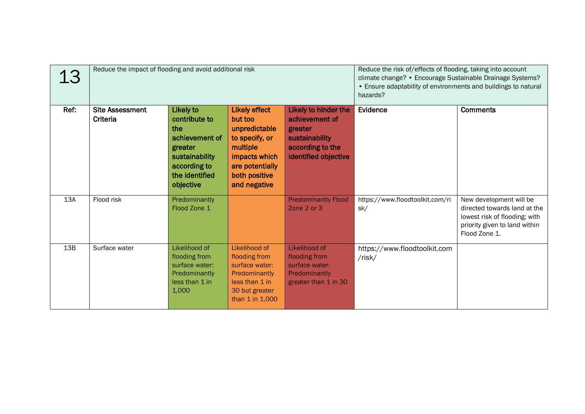| 13   | Reduce the impact of flooding and avoid additional risk |                                                                                                                                 | Reduce the risk of/effects of flooding, taking into account<br>climate change? • Encourage Sustainable Drainage Systems?<br>• Ensure adaptability of environments and buildings to natural<br>hazards? |                                                                                                                 |                                        |                                                                                                                                            |
|------|---------------------------------------------------------|---------------------------------------------------------------------------------------------------------------------------------|--------------------------------------------------------------------------------------------------------------------------------------------------------------------------------------------------------|-----------------------------------------------------------------------------------------------------------------|----------------------------------------|--------------------------------------------------------------------------------------------------------------------------------------------|
| Ref: | <b>Site Assessment</b><br>Criteria                      | Likely to<br>contribute to<br>the<br>achievement of<br>greater<br>sustainability<br>according to<br>the identified<br>objective | <b>Likely effect</b><br>but too<br>unpredictable<br>to specify, or<br>multiple<br>impacts which<br>are potentially<br>both positive<br>and negative                                                    | Likely to hinder the<br>achievement of<br>greater<br>sustainability<br>according to the<br>identified objective | Evidence                               | <b>Comments</b>                                                                                                                            |
| 13A  | Flood risk                                              | Predominantly<br>Flood Zone 1                                                                                                   |                                                                                                                                                                                                        | <b>Predominantly Flood</b><br>Zone 2 or 3                                                                       | https://www.floodtoolkit.com/ri<br>sk/ | New development will be<br>directed towards land at the<br>lowest risk of flooding; with<br>priority given to land within<br>Flood Zone 1. |
| 13B  | Surface water                                           | Likelihood of<br>flooding from<br>surface water:<br>Predominantly<br>less than 1 in<br>1,000                                    | Likelihood of<br>flooding from<br>surface water:<br>Predominantly<br>less than 1 in<br>30 but greater<br>than 1 in 1,000                                                                               | Likelihood of<br>flooding from<br>surface water:<br>Predominantly<br>greater than 1 in 30                       | https://www.floodtoolkit.com<br>/risk/ |                                                                                                                                            |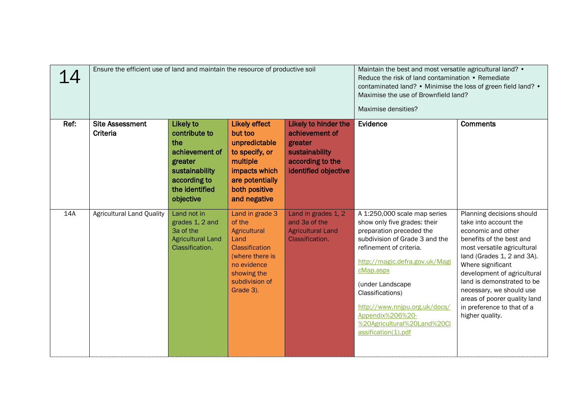| 14   | Ensure the efficient use of land and maintain the resource of productive soil |                                                                                                                                        | Maintain the best and most versatile agricultural land? •<br>Reduce the risk of land contamination • Remediate<br>contaminated land? • Minimise the loss of green field land? •<br>Maximise the use of Brownfield land?<br>Maximise densities? |                                                                                                                 |                                                                                                                                                                                                                                                                                                                                                         |                                                                                                                                                                                                                                                                                                                                                                  |
|------|-------------------------------------------------------------------------------|----------------------------------------------------------------------------------------------------------------------------------------|------------------------------------------------------------------------------------------------------------------------------------------------------------------------------------------------------------------------------------------------|-----------------------------------------------------------------------------------------------------------------|---------------------------------------------------------------------------------------------------------------------------------------------------------------------------------------------------------------------------------------------------------------------------------------------------------------------------------------------------------|------------------------------------------------------------------------------------------------------------------------------------------------------------------------------------------------------------------------------------------------------------------------------------------------------------------------------------------------------------------|
| Ref: | <b>Site Assessment</b><br>Criteria                                            | <b>Likely to</b><br>contribute to<br>the<br>achievement of<br>greater<br>sustainability<br>according to<br>the identified<br>objective | <b>Likely effect</b><br>but too<br>unpredictable<br>to specify, or<br>multiple<br>impacts which<br>are potentially<br>both positive<br>and negative                                                                                            | Likely to hinder the<br>achievement of<br>greater<br>sustainability<br>according to the<br>identified objective | Evidence                                                                                                                                                                                                                                                                                                                                                | <b>Comments</b>                                                                                                                                                                                                                                                                                                                                                  |
| 14A  | <b>Agricultural Land Quality</b>                                              | Land not in<br>grades 1, 2 and<br>3a of the<br><b>Agricultural Land</b><br>Classification.                                             | Land in grade 3<br>of the<br>Agricultural<br>Land<br><b>Classification</b><br>(where there is<br>no evidence<br>showing the<br>subdivision of<br>Grade 3).                                                                                     | Land in grades 1, 2<br>and 3a of the<br><b>Agricultural Land</b><br>Classification.                             | A 1:250,000 scale map series<br>show only five grades: their<br>preparation preceded the<br>subdivision of Grade 3 and the<br>refinement of criteria.<br>http://magic.defra.gov.uk/Magi<br>cMap.aspx<br>(under Landscape<br>Classifications)<br>http://www.nnjpu.org.uk/docs/<br>Appendix%206%20-<br>%20Agricultural%20Land%20Cl<br>assification(1).pdf | Planning decisions should<br>take into account the<br>economic and other<br>benefits of the best and<br>most versatile agricultural<br>land (Grades 1, 2 and 3A).<br>Where significant<br>development of agricultural<br>land is demonstrated to be<br>necessary, we should use<br>areas of poorer quality land<br>in preference to that of a<br>higher quality. |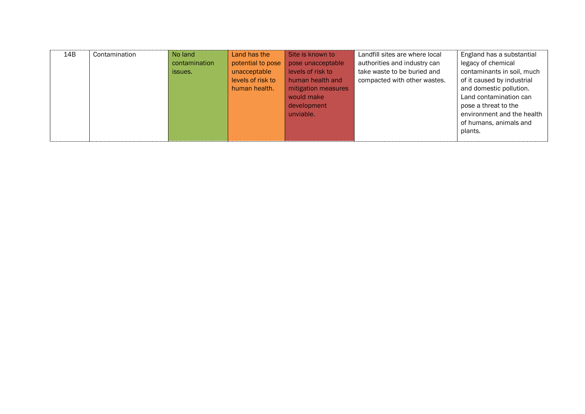| 14B | Contamination | No land       | Land has the      | Site is known to    | Landfill sites are where local | England has a substantial  |
|-----|---------------|---------------|-------------------|---------------------|--------------------------------|----------------------------|
|     |               | contamination | potential to pose | pose unacceptable   | authorities and industry can   | legacy of chemical         |
|     |               | issues.       | unacceptable      | levels of risk to   | take waste to be buried and    | contaminants in soil, much |
|     |               |               | levels of risk to | human health and    | compacted with other wastes.   | of it caused by industrial |
|     |               |               | human health.     | mitigation measures |                                | and domestic pollution.    |
|     |               |               |                   | would make          |                                | Land contamination can     |
|     |               |               |                   | development         |                                | pose a threat to the       |
|     |               |               |                   | unviable.           |                                | environment and the health |
|     |               |               |                   |                     |                                | of humans, animals and     |
|     |               |               |                   |                     |                                | plants.                    |
|     |               |               |                   |                     |                                |                            |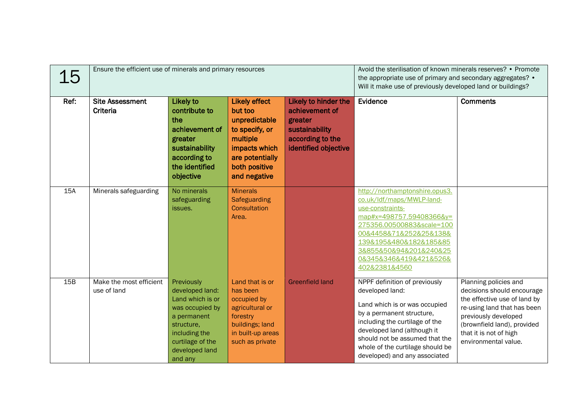| 15   | Ensure the efficient use of minerals and primary resources |                                                                                                                                                                     |                                                                                                                                                     | Avoid the sterilisation of known minerals reserves? • Promote<br>the appropriate use of primary and secondary aggregates? •<br>Will it make use of previously developed land or buildings? |                                                                                                                                                                                                                                                                                        |                                                                                                                                                                                                                             |
|------|------------------------------------------------------------|---------------------------------------------------------------------------------------------------------------------------------------------------------------------|-----------------------------------------------------------------------------------------------------------------------------------------------------|--------------------------------------------------------------------------------------------------------------------------------------------------------------------------------------------|----------------------------------------------------------------------------------------------------------------------------------------------------------------------------------------------------------------------------------------------------------------------------------------|-----------------------------------------------------------------------------------------------------------------------------------------------------------------------------------------------------------------------------|
| Ref: | <b>Site Assessment</b><br><b>Criteria</b>                  | <b>Likely to</b><br>contribute to<br>the<br>achievement of<br>greater<br>sustainability<br>according to<br>the identified<br>objective                              | <b>Likely effect</b><br>but too<br>unpredictable<br>to specify, or<br>multiple<br>impacts which<br>are potentially<br>both positive<br>and negative | Likely to hinder the<br>achievement of<br>greater<br>sustainability<br>according to the<br>identified objective                                                                            | Evidence                                                                                                                                                                                                                                                                               | <b>Comments</b>                                                                                                                                                                                                             |
| 15A  | Minerals safeguarding                                      | No minerals<br>safeguarding<br>issues.                                                                                                                              | <b>Minerals</b><br>Safeguarding<br>Consultation<br>Area.                                                                                            |                                                                                                                                                                                            | http://northamptonshire.opus3.<br>co.uk/ldf/maps/MWLP-land-<br>use-constraints-<br>map#x=498757.59408366&y=<br>275356.00500883&scale=100<br>00&4458&71&252&25&138&<br>139&195&480&182&185&85<br>3&855&50&94&201&240&25<br>0&345&346&419&421&526&<br>402&2381&4560                      |                                                                                                                                                                                                                             |
| 15B  | Make the most efficient<br>use of land                     | Previously<br>developed land:<br>Land which is or<br>was occupied by<br>a permanent<br>structure,<br>including the<br>curtilage of the<br>developed land<br>and any | Land that is or<br>has been<br>occupied by<br>agricultural or<br>forestry<br>buildings; land<br>in built-up areas<br>such as private                | <b>Greenfield land</b>                                                                                                                                                                     | NPPF definition of previously<br>developed land:<br>Land which is or was occupied<br>by a permanent structure,<br>including the curtilage of the<br>developed land (although it<br>should not be assumed that the<br>whole of the curtilage should be<br>developed) and any associated | Planning policies and<br>decisions should encourage<br>the effective use of land by<br>re-using land that has been<br>previously developed<br>(brownfield land), provided<br>that it is not of high<br>environmental value. |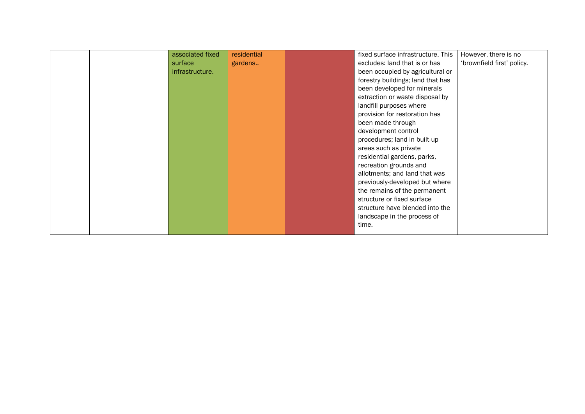|  | associated fixed | residential | fixed surface infrastructure. This | However, there is no       |
|--|------------------|-------------|------------------------------------|----------------------------|
|  | surface          | gardens     | excludes: land that is or has      | 'brownfield first' policy. |
|  | infrastructure.  |             | been occupied by agricultural or   |                            |
|  |                  |             | forestry buildings; land that has  |                            |
|  |                  |             | been developed for minerals        |                            |
|  |                  |             | extraction or waste disposal by    |                            |
|  |                  |             | landfill purposes where            |                            |
|  |                  |             | provision for restoration has      |                            |
|  |                  |             | been made through                  |                            |
|  |                  |             | development control                |                            |
|  |                  |             | procedures; land in built-up       |                            |
|  |                  |             | areas such as private              |                            |
|  |                  |             | residential gardens, parks,        |                            |
|  |                  |             | recreation grounds and             |                            |
|  |                  |             | allotments; and land that was      |                            |
|  |                  |             | previously-developed but where     |                            |
|  |                  |             | the remains of the permanent       |                            |
|  |                  |             | structure or fixed surface         |                            |
|  |                  |             | structure have blended into the    |                            |
|  |                  |             | landscape in the process of        |                            |
|  |                  |             | time.                              |                            |
|  |                  |             |                                    |                            |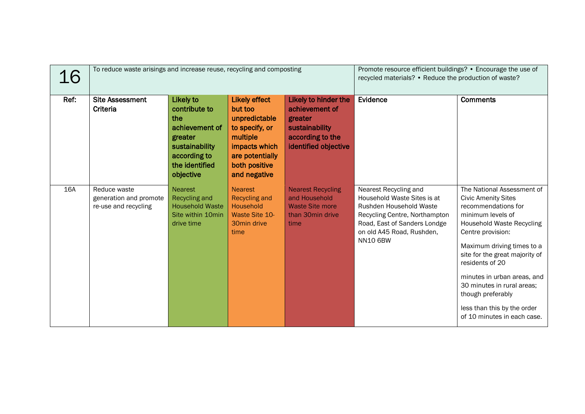| 16         | To reduce waste arisings and increase reuse, recycling and composting |                                                                                                                                 |                                                                                                                                                     | Promote resource efficient buildings? • Encourage the use of<br>recycled materials? • Reduce the production of waste? |                                                                                                                                                                                                  |                                                                                                                                                                                                                                                                                                                                                                                                  |
|------------|-----------------------------------------------------------------------|---------------------------------------------------------------------------------------------------------------------------------|-----------------------------------------------------------------------------------------------------------------------------------------------------|-----------------------------------------------------------------------------------------------------------------------|--------------------------------------------------------------------------------------------------------------------------------------------------------------------------------------------------|--------------------------------------------------------------------------------------------------------------------------------------------------------------------------------------------------------------------------------------------------------------------------------------------------------------------------------------------------------------------------------------------------|
| Ref:       | <b>Site Assessment</b><br>Criteria                                    | Likely to<br>contribute to<br>the<br>achievement of<br>greater<br>sustainability<br>according to<br>the identified<br>objective | <b>Likely effect</b><br>but too<br>unpredictable<br>to specify, or<br>multiple<br>impacts which<br>are potentially<br>both positive<br>and negative | Likely to hinder the<br>achievement of<br>greater<br>sustainability<br>according to the<br>identified objective       | Evidence                                                                                                                                                                                         | <b>Comments</b>                                                                                                                                                                                                                                                                                                                                                                                  |
| <b>16A</b> | Reduce waste<br>generation and promote<br>re-use and recycling        | <b>Nearest</b><br>Recycling and<br><b>Household Waste</b><br>Site within 10min<br>drive time                                    | <b>Nearest</b><br><b>Recycling and</b><br>Household<br>Waste Site 10-<br>30min drive<br>time                                                        | <b>Nearest Recycling</b><br>and Household<br><b>Waste Site more</b><br>than 30min drive<br>time                       | Nearest Recycling and<br>Household Waste Sites is at<br>Rushden Household Waste<br>Recycling Centre, Northampton<br>Road, East of Sanders Londge<br>on old A45 Road, Rushden,<br><b>NN10 6BW</b> | The National Assessment of<br><b>Civic Amenity Sites</b><br>recommendations for<br>minimum levels of<br><b>Household Waste Recycling</b><br>Centre provision:<br>Maximum driving times to a<br>site for the great majority of<br>residents of 20<br>minutes in urban areas, and<br>30 minutes in rural areas;<br>though preferably<br>less than this by the order<br>of 10 minutes in each case. |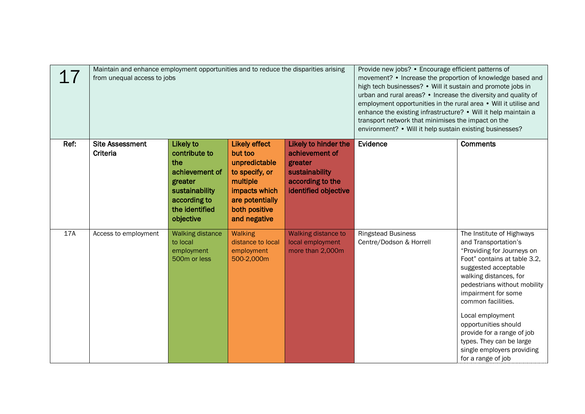|      | Maintain and enhance employment opportunities and to reduce the disparities arising<br>from unequal access to jobs |                                                                                                                                 | Provide new jobs? • Encourage efficient patterns of<br>movement? • Increase the proportion of knowledge based and<br>high tech businesses? • Will it sustain and promote jobs in<br>urban and rural areas? • Increase the diversity and quality of<br>employment opportunities in the rural area • Will it utilise and<br>enhance the existing infrastructure? • Will it help maintain a<br>transport network that minimises the impact on the<br>environment? • Will it help sustain existing businesses? |                                                                                                                 |                                                      |                                                                                                                                                                                                                                                                                                                                                                                                          |
|------|--------------------------------------------------------------------------------------------------------------------|---------------------------------------------------------------------------------------------------------------------------------|------------------------------------------------------------------------------------------------------------------------------------------------------------------------------------------------------------------------------------------------------------------------------------------------------------------------------------------------------------------------------------------------------------------------------------------------------------------------------------------------------------|-----------------------------------------------------------------------------------------------------------------|------------------------------------------------------|----------------------------------------------------------------------------------------------------------------------------------------------------------------------------------------------------------------------------------------------------------------------------------------------------------------------------------------------------------------------------------------------------------|
| Ref: | <b>Site Assessment</b><br>Criteria                                                                                 | Likely to<br>contribute to<br>the<br>achievement of<br>greater<br>sustainability<br>according to<br>the identified<br>objective | <b>Likely effect</b><br>but too<br>unpredictable<br>to specify, or<br>multiple<br>impacts which<br>are potentially<br>both positive<br>and negative                                                                                                                                                                                                                                                                                                                                                        | Likely to hinder the<br>achievement of<br>greater<br>sustainability<br>according to the<br>identified objective | Evidence                                             | <b>Comments</b>                                                                                                                                                                                                                                                                                                                                                                                          |
| 17A  | Access to employment                                                                                               | <b>Walking distance</b><br>to local<br>employment<br>500m or less                                                               | <b>Walking</b><br>distance to local<br>employment<br>500-2,000m                                                                                                                                                                                                                                                                                                                                                                                                                                            | Walking distance to<br>local employment<br>more than 2,000m                                                     | <b>Ringstead Business</b><br>Centre/Dodson & Horrell | The Institute of Highways<br>and Transportation's<br>"Providing for Journeys on<br>Foot" contains at table 3.2,<br>suggested acceptable<br>walking distances, for<br>pedestrians without mobility<br>impairment for some<br>common facilities.<br>Local employment<br>opportunities should<br>provide for a range of job<br>types. They can be large<br>single employers providing<br>for a range of job |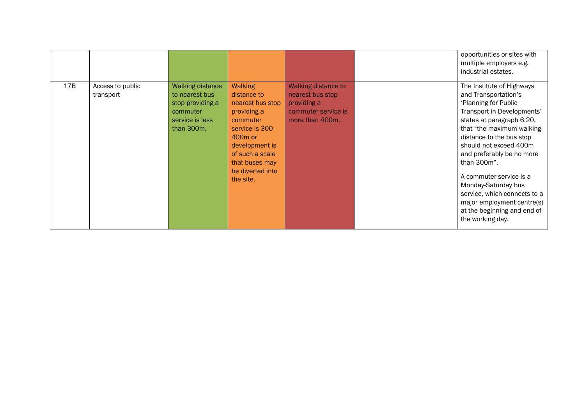|     |                               |                                                                                                            |                                                                                                                                                                                                         |                                                                                                  | opportunities or sites with<br>multiple employers e.g.<br>industrial estates.                                                                                                                                                                                                                                                                                                                                                          |
|-----|-------------------------------|------------------------------------------------------------------------------------------------------------|---------------------------------------------------------------------------------------------------------------------------------------------------------------------------------------------------------|--------------------------------------------------------------------------------------------------|----------------------------------------------------------------------------------------------------------------------------------------------------------------------------------------------------------------------------------------------------------------------------------------------------------------------------------------------------------------------------------------------------------------------------------------|
| 17B | Access to public<br>transport | <b>Walking distance</b><br>to nearest bus<br>stop providing a<br>commuter<br>service is less<br>than 300m. | Walking<br>distance to<br>nearest bus stop<br>providing a<br>commuter<br>service is 300-<br>400 <sub>m</sub> or<br>development is<br>of such a scale<br>that buses may<br>be diverted into<br>the site. | Walking distance to<br>nearest bus stop<br>providing a<br>commuter service is<br>more than 400m. | The Institute of Highways<br>and Transportation's<br>'Planning for Public<br>Transport in Developments'<br>states at paragraph 6.20,<br>that "the maximum walking<br>distance to the bus stop<br>should not exceed 400m<br>and preferably be no more<br>than 300m".<br>A commuter service is a<br>Monday-Saturday bus<br>service, which connects to a<br>major employment centre(s)<br>at the beginning and end of<br>the working day. |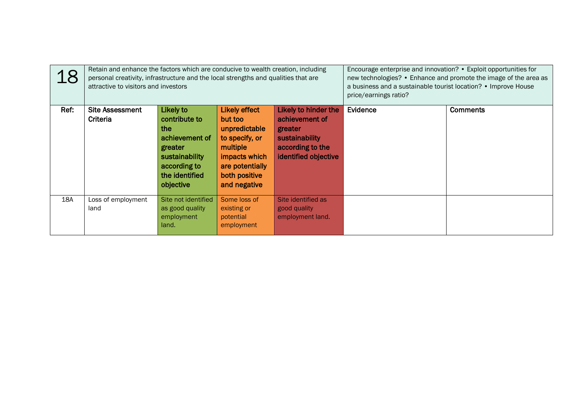| 18   | Retain and enhance the factors which are conducive to wealth creation, including<br>personal creativity, infrastructure and the local strengths and qualities that are<br>attractive to visitors and investors |                                                                                                                                 |                                                                                                                                                     |                                                                                                                 | Encourage enterprise and innovation? • Exploit opportunities for<br>new technologies? • Enhance and promote the image of the area as<br>a business and a sustainable tourist location? • Improve House<br>price/earnings ratio? |                 |
|------|----------------------------------------------------------------------------------------------------------------------------------------------------------------------------------------------------------------|---------------------------------------------------------------------------------------------------------------------------------|-----------------------------------------------------------------------------------------------------------------------------------------------------|-----------------------------------------------------------------------------------------------------------------|---------------------------------------------------------------------------------------------------------------------------------------------------------------------------------------------------------------------------------|-----------------|
| Ref: | <b>Site Assessment</b><br>Criteria                                                                                                                                                                             | Likely to<br>contribute to<br>the<br>achievement of<br>greater<br>sustainability<br>according to<br>the identified<br>objective | <b>Likely effect</b><br>but too<br>unpredictable<br>to specify, or<br>multiple<br>impacts which<br>are potentially<br>both positive<br>and negative | Likely to hinder the<br>achievement of<br>greater<br>sustainability<br>according to the<br>identified objective | Evidence                                                                                                                                                                                                                        | <b>Comments</b> |
| 18A  | Loss of employment<br>land                                                                                                                                                                                     | Site not identified<br>as good quality<br>employment<br>land.                                                                   | Some loss of<br>existing or<br>potential<br>employment                                                                                              | Site identified as<br>good quality<br>employment land.                                                          |                                                                                                                                                                                                                                 |                 |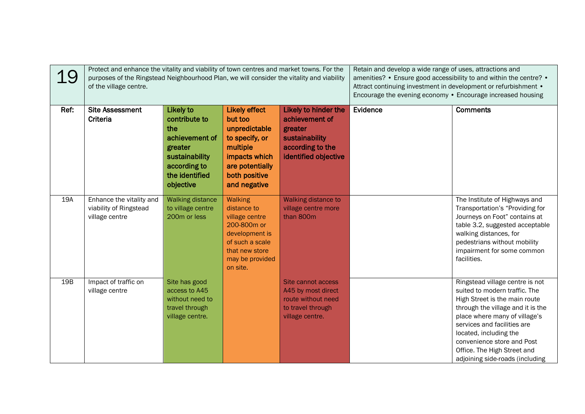| 19   | Protect and enhance the vitality and viability of town centres and market towns. For the<br>purposes of the Ringstead Neighbourhood Plan, we will consider the vitality and viability<br>of the village centre. |                                                                                                                                 |                                                                                                                                                      |                                                                                                                 | Retain and develop a wide range of uses, attractions and<br>amenities? • Ensure good accessibility to and within the centre? •<br>Attract continuing investment in development or refurbishment •<br>Encourage the evening economy . Encourage increased housing |                                                                                                                                                                                                                                                                                                                                  |
|------|-----------------------------------------------------------------------------------------------------------------------------------------------------------------------------------------------------------------|---------------------------------------------------------------------------------------------------------------------------------|------------------------------------------------------------------------------------------------------------------------------------------------------|-----------------------------------------------------------------------------------------------------------------|------------------------------------------------------------------------------------------------------------------------------------------------------------------------------------------------------------------------------------------------------------------|----------------------------------------------------------------------------------------------------------------------------------------------------------------------------------------------------------------------------------------------------------------------------------------------------------------------------------|
| Ref: | <b>Site Assessment</b><br>Criteria                                                                                                                                                                              | Likely to<br>contribute to<br>the<br>achievement of<br>greater<br>sustainability<br>according to<br>the identified<br>objective | <b>Likely effect</b><br>but too<br>unpredictable<br>to specify, or<br>multiple<br>impacts which<br>are potentially<br>both positive<br>and negative  | Likely to hinder the<br>achievement of<br>greater<br>sustainability<br>according to the<br>identified objective | Evidence                                                                                                                                                                                                                                                         | <b>Comments</b>                                                                                                                                                                                                                                                                                                                  |
| 19A  | Enhance the vitality and<br>viability of Ringstead<br>village centre                                                                                                                                            | <b>Walking distance</b><br>to village centre<br>200m or less                                                                    | <b>Walking</b><br>distance to<br>village centre<br>200-800m or<br>development is<br>of such a scale<br>that new store<br>may be provided<br>on site. | Walking distance to<br>village centre more<br>than 800m                                                         |                                                                                                                                                                                                                                                                  | The Institute of Highways and<br>Transportation's "Providing for<br>Journeys on Foot" contains at<br>table 3.2, suggested acceptable<br>walking distances, for<br>pedestrians without mobility<br>impairment for some common<br>facilities.                                                                                      |
| 19B  | Impact of traffic on<br>village centre                                                                                                                                                                          | Site has good<br>access to A45<br>without need to<br>travel through<br>village centre.                                          |                                                                                                                                                      | Site cannot access<br>A45 by most direct<br>route without need<br>to travel through<br>village centre.          |                                                                                                                                                                                                                                                                  | Ringstead village centre is not<br>suited to modern traffic. The<br>High Street is the main route<br>through the village and it is the<br>place where many of village's<br>services and facilities are<br>located, including the<br>convenience store and Post<br>Office. The High Street and<br>adjoining side-roads (including |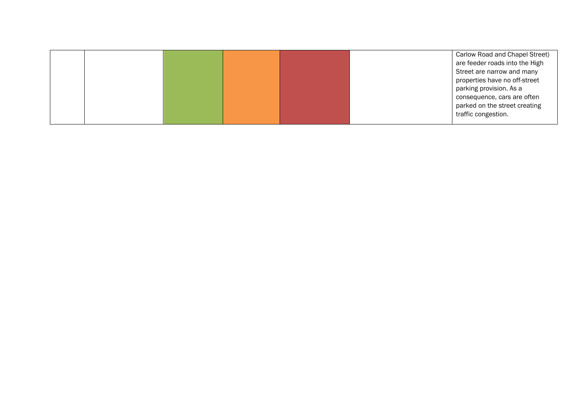|  | Carlow Road and Chapel Street) |
|--|--------------------------------|
|  | are feeder roads into the High |
|  | Street are narrow and many     |
|  | properties have no off-street  |
|  | parking provision. As a        |
|  | consequence, cars are often    |
|  | parked on the street creating  |
|  | traffic congestion.            |
|  |                                |